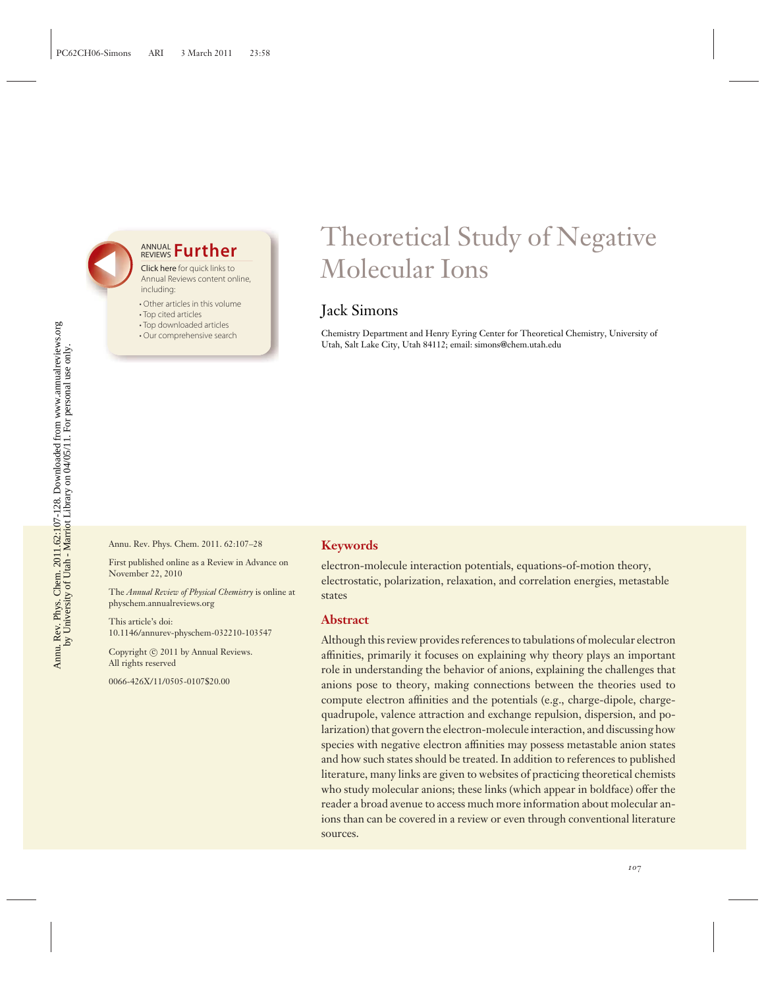# **ANNUAL Further**

Click here for quick links to Annual Reviews content online, including:

- Other articles in this volume
- Top cited articles
- Top downloaded articles
- Our comprehensive search

# Theoretical Study of Negative Molecular Ions

# Jack Simons

Chemistry Department and Henry Eyring Center for Theoretical Chemistry, University of Utah, Salt Lake City, Utah 84112; email: simons@chem.utah.edu

Annu. Rev. Phys. Chem. 2011. 62:107–28

First published online as a Review in Advance on November 22, 2010

The *Annual Review of Physical Chemistry* is online at physchem.annualreviews.org

This article's doi: 10.1146/annurev-physchem-032210-103547

Copyright  $\odot$  2011 by Annual Reviews. All rights reserved

0066-426X/11/0505-0107\$20.00

# **Keywords**

electron-molecule interaction potentials, equations-of-motion theory, electrostatic, polarization, relaxation, and correlation energies, metastable states

# **Abstract**

Although this review provides references to tabulations of molecular electron affinities, primarily it focuses on explaining why theory plays an important role in understanding the behavior of anions, explaining the challenges that anions pose to theory, making connections between the theories used to compute electron affinities and the potentials (e.g., charge-dipole, chargequadrupole, valence attraction and exchange repulsion, dispersion, and polarization) that govern the electron-molecule interaction, and discussing how species with negative electron affinities may possess metastable anion states and how such states should be treated. In addition to references to published literature, many links are given to websites of practicing theoretical chemists who study molecular anions; these links (which appear in boldface) offer the reader a broad avenue to access much more information about molecular anions than can be covered in a review or even through conventional literature sources.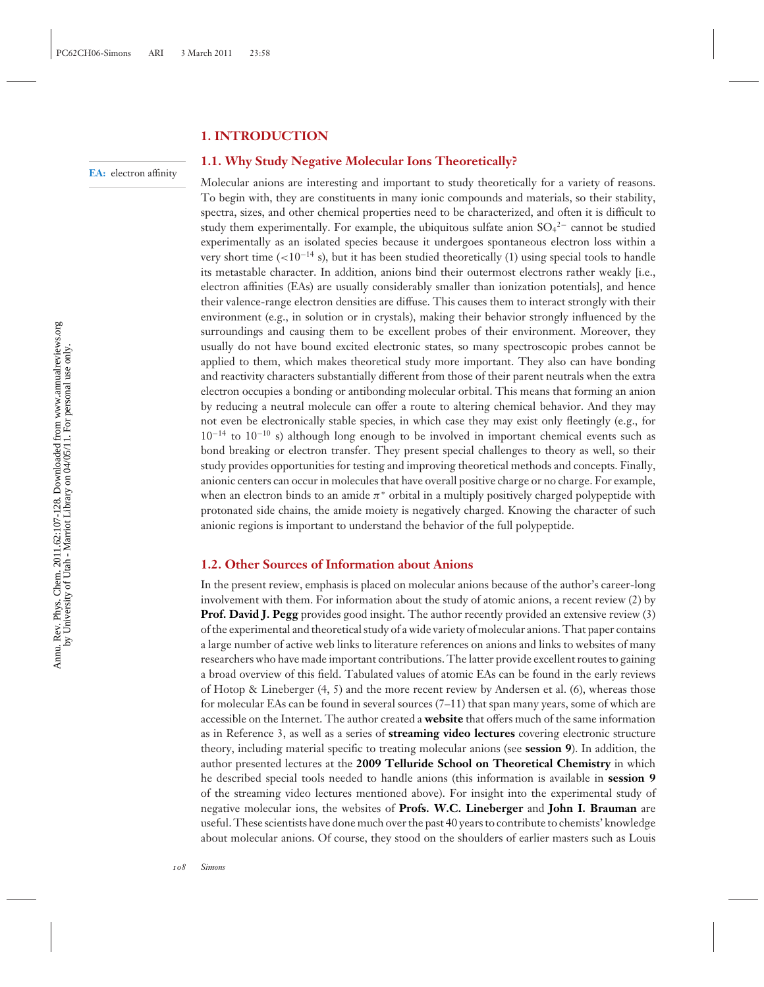## **1. INTRODUCTION**

**EA:** electron affinity

# **1.1. Why Study Negative Molecular Ions Theoretically?**

Molecular anions are interesting and important to study theoretically for a variety of reasons. To begin with, they are constituents in many ionic compounds and materials, so their stability, spectra, sizes, and other chemical properties need to be characterized, and often it is difficult to study them experimentally. For example, the ubiquitous sulfate anion  $\text{SO}_4{}^{2-}$  cannot be studied experimentally as an isolated species because it undergoes spontaneous electron loss within a very short time  $\left($ <10<sup>−14</sup> s), but it has been studied theoretically (1) using special tools to handle its metastable character. In addition, anions bind their outermost electrons rather weakly [i.e., electron affinities (EAs) are usually considerably smaller than ionization potentials], and hence their valence-range electron densities are diffuse. This causes them to interact strongly with their environment (e.g., in solution or in crystals), making their behavior strongly influenced by the surroundings and causing them to be excellent probes of their environment. Moreover, they usually do not have bound excited electronic states, so many spectroscopic probes cannot be applied to them, which makes theoretical study more important. They also can have bonding and reactivity characters substantially different from those of their parent neutrals when the extra electron occupies a bonding or antibonding molecular orbital. This means that forming an anion by reducing a neutral molecule can offer a route to altering chemical behavior. And they may not even be electronically stable species, in which case they may exist only fleetingly (e.g., for  $10^{-14}$  to  $10^{-10}$  s) although long enough to be involved in important chemical events such as bond breaking or electron transfer. They present special challenges to theory as well, so their study provides opportunities for testing and improving theoretical methods and concepts. Finally, anionic centers can occur in molecules that have overall positive charge or no charge. For example, when an electron binds to an amide  $\pi^*$  orbital in a multiply positively charged polypeptide with protonated side chains, the amide moiety is negatively charged. Knowing the character of such anionic regions is important to understand the behavior of the full polypeptide.

# **1.2. Other Sources of Information about Anions**

In the present review, emphasis is placed on molecular anions because of the author's career-long involvement with them. For information about the study of atomic anions, a recent review (2) by **[Prof. David J. Pegg](http://www.phys.utk.edu/faculty_pegg.htm)** provides good insight. The author recently provided an extensive review (3) of the experimental and theoretical study of a wide variety of molecular anions. That paper contains a large number of active web links to literature references on anions and links to websites of many researchers who have made important contributions. The latter provide excellent routes to gaining a broad overview of this field. Tabulated values of atomic EAs can be found in the early reviews of Hotop & Lineberger  $(4, 5)$  and the more recent review by Andersen et al.  $(6)$ , whereas those for molecular EAs can be found in several sources (7–11) that span many years, some of which are accessible on the Internet. The author created a **[website](http://www.hec.utah.edu/anions/)** that offers much of the same information as in Reference 3, as well as a series of **[streaming video lectures](http://www.hec.utah.edu/ESTheory/)** covering electronic structure theory, including material specific to treating molecular anions (see **[session 9](http://www.hec.utah.edu/ESTheory/session09.html)**). In addition, the author presented lectures at the **[2009 Telluride School on Theoretical Chemistry](http://www.telluridescience.org/2009_tstc)** in which he described special tools needed to handle anions (this information is available in **[session 9](http://www.hec.utah.edu/ESTheory/session09.html)** of the streaming video lectures mentioned above). For insight into the experimental study of negative molecular ions, the websites of **[Profs. W.C. Lineberger](http://www.colorado.edu/chem/people/linebergerc.html)** and **[John I. Brauman](http://www.stanford.edu/dept/chemistry/faculty/brauman/)** are useful. These scientists have done much over the past 40 years to contribute to chemists' knowledge about molecular anions. Of course, they stood on the shoulders of earlier masters such as Louis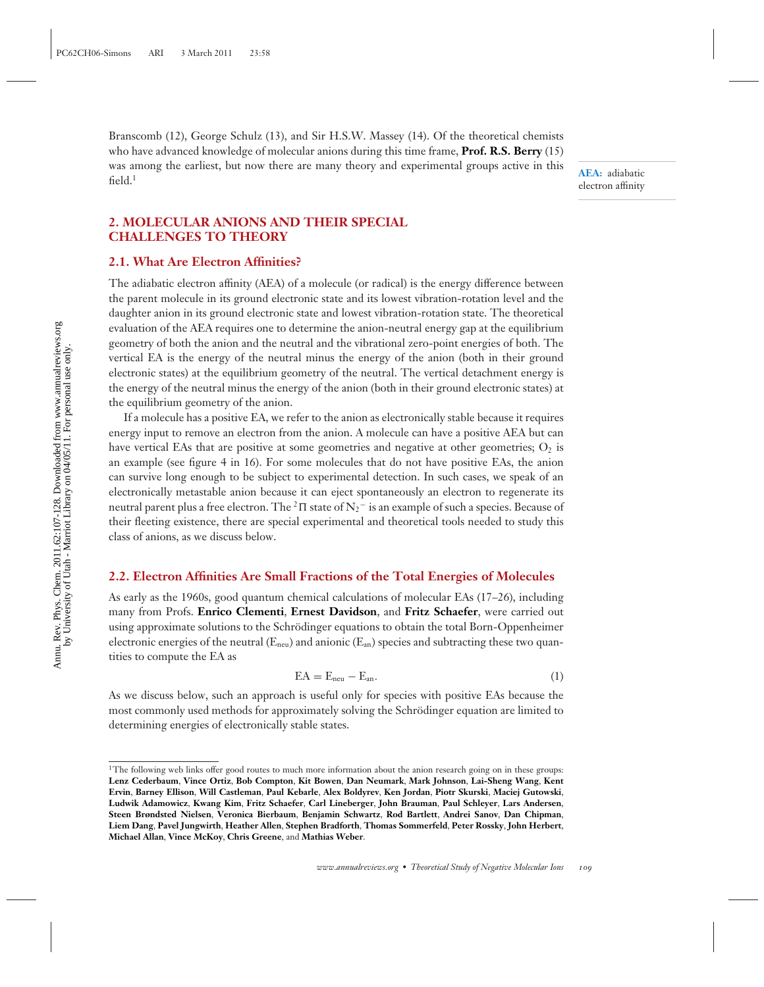Branscomb (12), George Schulz (13), and Sir H.S.W. Massey (14). Of the theoretical chemists who have advanced knowledge of molecular anions during this time frame, **[Prof. R.S. Berry](http://chemistry.uchicago.edu/fac/berry.shtml)** (15) was among the earliest, but now there are many theory and experimental groups active in this  $field.<sup>1</sup>$ 

**AEA:** adiabatic electron affinity

# **2. MOLECULAR ANIONS AND THEIR SPECIAL CHALLENGES TO THEORY**

# **2.1. What Are Electron Affinities?**

The adiabatic electron affinity (AEA) of a molecule (or radical) is the energy difference between the parent molecule in its ground electronic state and its lowest vibration-rotation level and the daughter anion in its ground electronic state and lowest vibration-rotation state. The theoretical evaluation of the AEA requires one to determine the anion-neutral energy gap at the equilibrium geometry of both the anion and the neutral and the vibrational zero-point energies of both. The vertical EA is the energy of the neutral minus the energy of the anion (both in their ground electronic states) at the equilibrium geometry of the neutral. The vertical detachment energy is the energy of the neutral minus the energy of the anion (both in their ground electronic states) at the equilibrium geometry of the anion.

If a molecule has a positive EA, we refer to the anion as electronically stable because it requires energy input to remove an electron from the anion. A molecule can have a positive AEA but can have vertical EAs that are positive at some geometries and negative at other geometries;  $O_2$  is an example (see figure 4 in 16). For some molecules that do not have positive EAs, the anion can survive long enough to be subject to experimental detection. In such cases, we speak of an electronically metastable anion because it can eject spontaneously an electron to regenerate its neutral parent plus a free electron. The  $^2\Pi$  state of  $\mathrm{N_2}^-$  is an example of such a species. Because of their fleeting existence, there are special experimental and theoretical tools needed to study this class of anions, as we discuss below.

# **2.2. Electron Affinities Are Small Fractions of the Total Energies of Molecules**

As early as the 1960s, good quantum chemical calculations of molecular EAs (17–26), including many from Profs. **[Enrico Clementi](http://www.netsci.org/Resources/Software/Modeling/QM/motecc.html)**, **[Ernest Davidson](http://depts.washington.edu/chem/people/faculty/davidson.html)**, and **[Fritz Schaefer](http://www.ccc.uga.edu/)**, were carried out using approximate solutions to the Schrödinger equations to obtain the total Born-Oppenheimer electronic energies of the neutral  $(E_{\text{neu}})$  and anionic  $(E_{\text{an}})$  species and subtracting these two quantities to compute the EA as

$$
EA = Eneu - Ean.
$$
 (1)

As we discuss below, such an approach is useful only for species with positive EAs because the most commonly used methods for approximately solving the Schrödinger equation are limited to determining energies of electronically stable states.

<sup>&</sup>lt;sup>1</sup>The following web links offer good routes to much more information about the anion research going on in these groups: **[Lenz Cederbaum](http://www.pci.uni-heidelberg.de/tc/usr/lenz/)**, **[Vince Ortiz](http://www.auburn.edu/academic/cosam/faculty/chemistry/ortiz/index.htm)**, **[Bob Compton](http://web.utk.edu/ rcompton/)**, **[Kit Bowen](http://www.jhu.edu/ chem/bowen/)**, **[Dan Neumark](http://bromine.cchem.berkeley.edu/)**, **[Mark Johnson](http://www.chem.yale.edu/faculty/johnson.html)**, **[Lai-Sheng Wang](http://www.chem.brown.edu/people/facultypage.php?id=1251729290)**, **[Kent](http://www.chem.unr.edu/faculty/kme/) [Ervin](http://www.chem.unr.edu/faculty/kme/)**, **[Barney Ellison](http://www.colorado.edu/chem/ellison/)**, **[Will Castleman](http://www.chem.psu.edu/directory/awc)**, **[Paul Kebarle](http://www.chem.ualberta.ca/faculty/kebarle.htm)**, **[Alex Boldyrev](http://www.chem.usu.edu/ boldyrev/)**, **[Ken Jordan](http://www.pitt.edu/ jordan/)**, **[Piotr Skurski](http://www.chem.univ.gda.pl/zchk/)**, **[Maciej Gutowski](http://www.che.hw.ac.uk/people/mg.html)**, **[Ludwik Adamowicz](http://www.chem.arizona.edu/faculty/profile/profile.php?fid_call=adam)**, **[Kwang Kim](http://csm.postech.ac.kr/)**, **[Fritz Schaefer](http://www.ccc.uga.edu/)**, **[Carl Lineberger](http://jilawww.colorado.edu/wclgroup/)**, **[John Brauman](http://www.stanford.edu/dept/chemistry/faculty/brauman/)**, **[Paul Schleyer](http://www.chem.uga.edu/schleyer/)**, **[Lars Andersen](http://www.phys.au.dk/ lha/)**, **[Steen Brøndsted Nielsen](http://www.phys.au.dk/ sbn/)**, **[Veronica Bierbaum](http://chem.colorado.edu/index.php?option=com_content&view=article&id=245&Itemid=185)**, **[Benjamin Schwartz](http://www.chem.ucla.edu/dept/Faculty/schwartz/)**, **[Rod Bartlett](http://www.qtp.ufl.edu/ bartlett/)**, **[Andrei Sanov](http://www.chem.arizona.edu/faculty/profile/profile.php?fid_call=sano)**, **[Dan Chipman](http://chemistry.nd.edu/faculty/detail/dchipman/)**, **[Liem Dang](http://emslbios.pnl.gov/id/dang_lx)**, **[Pavel Jungwirth](http://www.molecular.cz/ jungwirt/)**, **[Heather Allen](https://web.chemistry.ohio-state.edu/department/personnel/faculty/allen)**, **[Stephen Bradforth](http://photon.usc.edu/)**, **[Thomas Sommerfeld](http://www.selu.edu/acad_research/depts/chem_phy/faculty/profiles/Thomas_Sommerfeld.html)**, **[Peter Rossky](http://rossky.cm.utexas.edu/)**, **[John Herbert](https://web.chemistry.ohio-state.edu/department/personnel/faculty/Herbert)**, **[Michael Allan](http://www-chem.unifr.ch/ma/allan.html)**, **[Vince McKoy](http://www.cce.caltech.edu/faculty/mckoy/index.html)**, **[Chris Greene](http://fermion.colorado.edu/ chg/NewPages/)**, and **[Mathias Weber](http://jila.colorado.edu/weberlabs/)**.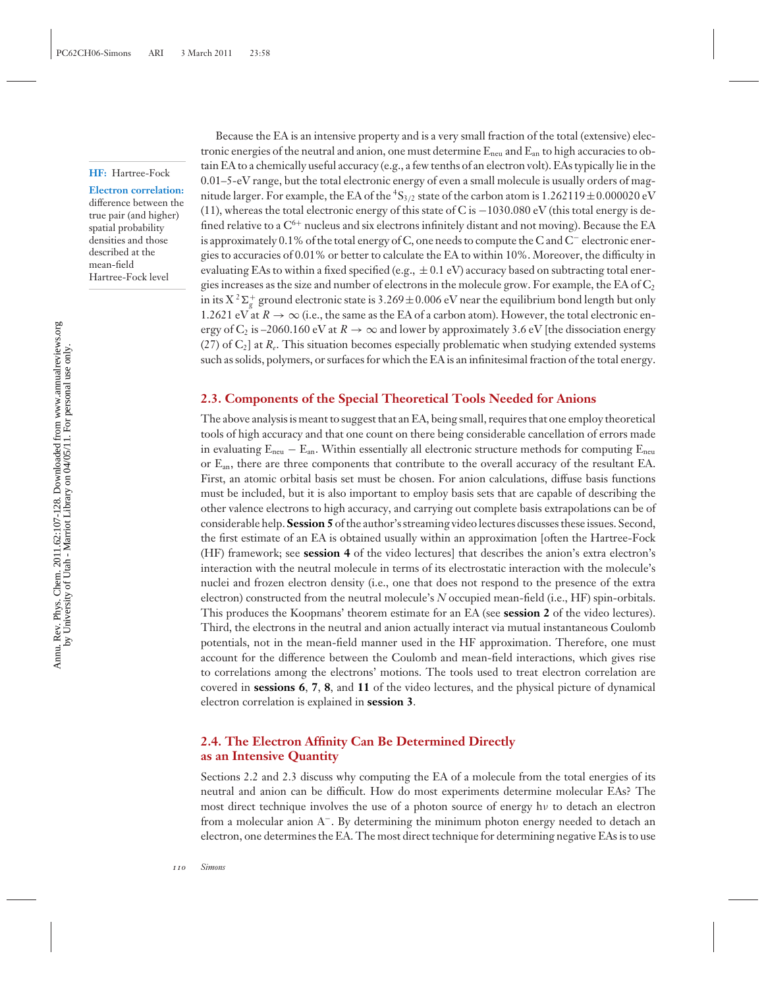#### **HF:** Hartree-Fock

#### **Electron correlation:**

difference between the true pair (and higher) spatial probability densities and those described at the mean-field Hartree-Fock level

Because the EA is an intensive property and is a very small fraction of the total (extensive) electronic energies of the neutral and anion, one must determine  $E_{\text{nen}}$  and  $E_{\text{an}}$  to high accuracies to obtain EA to a chemically useful accuracy (e.g., a few tenths of an electron volt). EAs typically lie in the 0.01–5-eV range, but the total electronic energy of even a small molecule is usually orders of magnitude larger. For example, the EA of the  ${}^4S_{3/2}$  state of the carbon atom is 1.262119 $\pm$ 0.000020 eV (11), whereas the total electronic energy of this state of C is  $-1030.080 \text{ eV}$  (this total energy is defined relative to a C<sup>6+</sup> nucleus and six electrons infinitely distant and not moving). Because the EA is approximately 0.1% of the total energy of C, one needs to compute the C and C<sup>−</sup> electronic energies to accuracies of 0.01% or better to calculate the EA to within 10%. Moreover, the difficulty in evaluating EAs to within a fixed specified (e.g.,  $\pm$  0.1 eV) accuracy based on subtracting total energies increases as the size and number of electrons in the molecule grow. For example, the EA of  $C_2$ in its X  $^2\Sigma_g^+$  ground electronic state is 3.269 $\pm$  0.006 eV near the equilibrium bond length but only 1.2621 eV at  $R \to \infty$  (i.e., the same as the EA of a carbon atom). However, the total electronic energy of  $C_2$  is –2060.160 eV at  $R \to \infty$  and lower by approximately 3.6 eV [the dissociation energy (27) of C2] at *Re*. This situation becomes especially problematic when studying extended systems such as solids, polymers, or surfaces for which the EA is an infinitesimal fraction of the total energy.

# **2.3. Components of the Special Theoretical Tools Needed for Anions**

The above analysis is meant to suggest that an EA, being small, requires that one employ theoretical tools of high accuracy and that one count on there being considerable cancellation of errors made in evaluating  $E_{\text{neu}} - E_{\text{an}}$ . Within essentially all electronic structure methods for computing  $E_{\text{neu}}$ or Ean, there are three components that contribute to the overall accuracy of the resultant EA. First, an atomic orbital basis set must be chosen. For anion calculations, diffuse basis functions must be included, but it is also important to employ basis sets that are capable of describing the other valence electrons to high accuracy, and carrying out complete basis extrapolations can be of considerable help. **[Session 5](http://www.hec.utah.edu/ESTheory/session05.html)** of the author's streaming video lectures discusses these issues. Second, the first estimate of an EA is obtained usually within an approximation [often the Hartree-Fock (HF) framework; see **[session 4](http://www.hec.utah.edu/ESTheory/session04.html)** of the video lectures] that describes the anion's extra electron's interaction with the neutral molecule in terms of its electrostatic interaction with the molecule's nuclei and frozen electron density (i.e., one that does not respond to the presence of the extra electron) constructed from the neutral molecule's *N* occupied mean-field (i.e., HF) spin-orbitals. This produces the Koopmans' theorem estimate for an EA (see **[session 2](http://www.hec.utah.edu/ESTheory/session02.html)** of the video lectures). Third, the electrons in the neutral and anion actually interact via mutual instantaneous Coulomb potentials, not in the mean-field manner used in the HF approximation. Therefore, one must account for the difference between the Coulomb and mean-field interactions, which gives rise to correlations among the electrons' motions. The tools used to treat electron correlation are covered in **[sessions 6](http://www.hec.utah.edu/ESTheory/session06.html)**, **[7](http://www.hec.utah.edu/ESTheory/session07.html)**, **[8](http://www.hec.utah.edu/ESTheory/session08.html)**, and **[11](http://www.hec.utah.edu/ESTheory/session11.html)** of the video lectures, and the physical picture of dynamical electron correlation is explained in **[session 3](http://www.hec.utah.edu/ESTheory/session03.html)**.

# **2.4. The Electron Affinity Can Be Determined Directly as an Intensive Quantity**

Sections 2.2 and 2.3 discuss why computing the EA of a molecule from the total energies of its neutral and anion can be difficult. How do most experiments determine molecular EAs? The most direct technique involves the use of a photon source of energy hν to detach an electron from a molecular anion A<sup>−</sup>. By determining the minimum photon energy needed to detach an electron, one determines the EA. The most direct technique for determining negative EAs is to use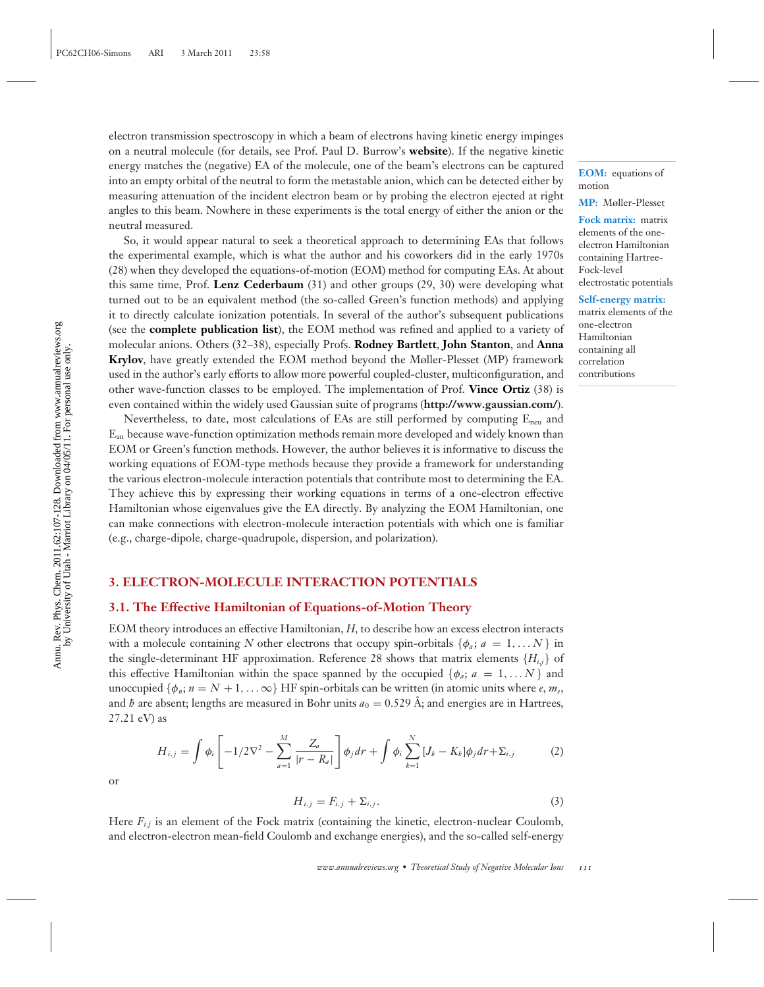electron transmission spectroscopy in which a beam of electrons having kinetic energy impinges on a neutral molecule (for details, see Prof. Paul D. Burrow's **[website](http://www.physics.unl.edu/directory/burrow/Files/burrow.htm)**). If the negative kinetic energy matches the (negative) EA of the molecule, one of the beam's electrons can be captured into an empty orbital of the neutral to form the metastable anion, which can be detected either by measuring attenuation of the incident electron beam or by probing the electron ejected at right angles to this beam. Nowhere in these experiments is the total energy of either the anion or the neutral measured.

So, it would appear natural to seek a theoretical approach to determining EAs that follows the experimental example, which is what the author and his coworkers did in the early 1970s (28) when they developed the equations-of-motion (EOM) method for computing EAs. At about this same time, Prof. **[Lenz Cederbaum](http://www.pci.uni-heidelberg.de/tc/usr/lenz/)** (31) and other groups (29, 30) were developing what turned out to be an equivalent method (the so-called Green's function methods) and applying it to directly calculate ionization potentials. In several of the author's subsequent publications (see the **[complete publication list](http://simons.hec.utah.edu/publications.html)**), the EOM method was refined and applied to a variety of molecular anions. Others (32–38), especially Profs. **[Rodney Bartlett](http://www.qtp.ufl.edu/ bartlett/)**, **[John Stanton](http://www.cm.utexas.edu/john_stanton)**, and **[Anna](http://iopenshell.usc.edu/krylovgroup/) [Krylov](http://iopenshell.usc.edu/krylovgroup/)**, have greatly extended the EOM method beyond the Møller-Plesset (MP) framework used in the author's early efforts to allow more powerful coupled-cluster, multiconfiguration, and other wave-function classes to be employed. The implementation of Prof. **[Vince Ortiz](http://www.auburn.edu/cosam/departments/chemistry/faculty_staff/ortiz/index.htm)** (38) is even contained within the widely used Gaussian suite of programs (**http://www.gaussian.com/**).

Nevertheless, to date, most calculations of EAs are still performed by computing Eneu and Ean because wave-function optimization methods remain more developed and widely known than EOM or Green's function methods. However, the author believes it is informative to discuss the working equations of EOM-type methods because they provide a framework for understanding the various electron-molecule interaction potentials that contribute most to determining the EA. They achieve this by expressing their working equations in terms of a one-electron effective Hamiltonian whose eigenvalues give the EA directly. By analyzing the EOM Hamiltonian, one can make connections with electron-molecule interaction potentials with which one is familiar (e.g., charge-dipole, charge-quadrupole, dispersion, and polarization).

# **3. ELECTRON-MOLECULE INTERACTION POTENTIALS**

# **3.1. The Effective Hamiltonian of Equations-of-Motion Theory**

EOM theory introduces an effective Hamiltonian, *H*, to describe how an excess electron interacts with a molecule containing *N* other electrons that occupy spin-orbitals  $\{\phi_a; a = 1, \ldots N\}$  in the single-determinant HF approximation. Reference 28 shows that matrix elements {*Hi*,*j*} of this effective Hamiltonian within the space spanned by the occupied  $\{\phi_a; a = 1,...N\}$  and unoccupied  $\{\phi_n; n = N + 1, \ldots \infty\}$  HF spin-orbitals can be written (in atomic units where *e*,  $m_e$ , and *h* are absent; lengths are measured in Bohr units  $a_0 = 0.529$  Å; and energies are in Hartrees, 27.21 eV) as

$$
H_{i,j} = \int \phi_i \left[ -1/2\nabla^2 - \sum_{a=1}^M \frac{Z_a}{|r - R_a|} \right] \phi_j dr + \int \phi_i \sum_{k=1}^N [J_k - K_k] \phi_j dr + \Sigma_{i,j} \tag{2}
$$

or

$$
H_{i,j} = F_{i,j} + \Sigma_{i,j}.\tag{3}
$$

Here  $F_{i,j}$  is an element of the Fock matrix (containing the kinetic, electron-nuclear Coulomb, and electron-electron mean-field Coulomb and exchange energies), and the so-called self-energy

*www.annualreviews.org* • *Theoretical Study of Negative Molecular Ions 111*

**EOM:** equations of motion

**MP:** Møller-Plesset

**Fock matrix:** matrix elements of the oneelectron Hamiltonian containing Hartree-Fock-level electrostatic potentials

**Self-energy matrix:** matrix elements of the one-electron Hamiltonian containing all

correlation contributions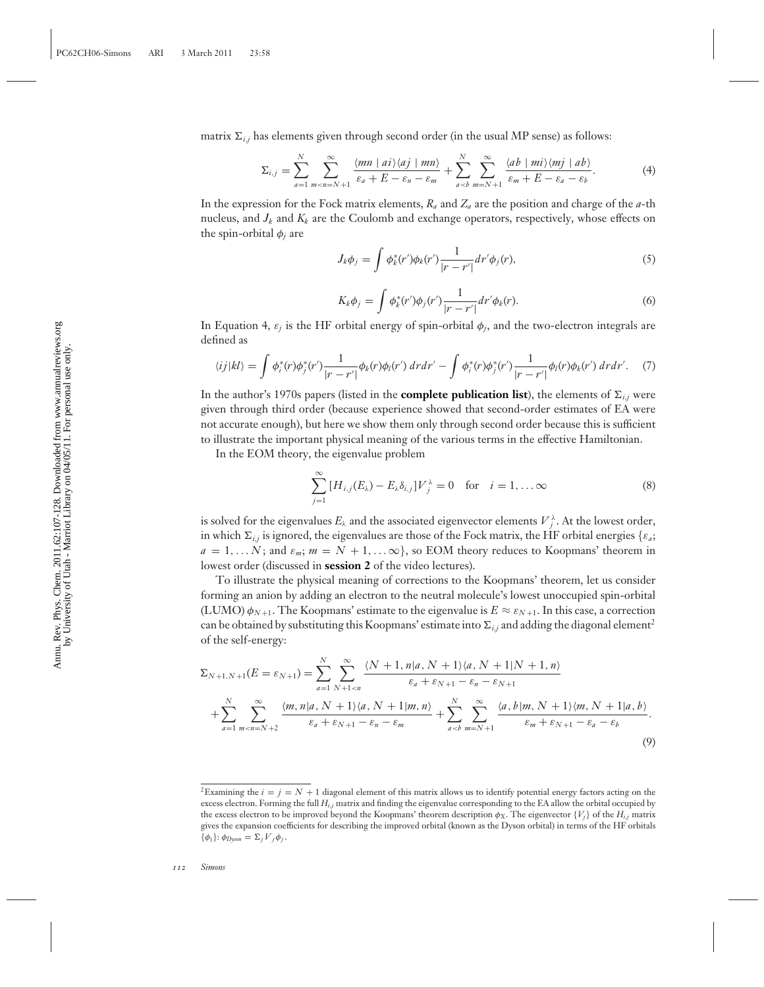matrix  $\Sigma_{i,j}$  has elements given through second order (in the usual MP sense) as follows:

$$
\Sigma_{i,j} = \sum_{a=1}^{N} \sum_{m < n = N+1}^{\infty} \frac{\langle mn \mid ai \rangle \langle aj \mid mn \rangle}{\varepsilon_a + E - \varepsilon_n - \varepsilon_m} + \sum_{a < b}^{N} \sum_{m=N+1}^{\infty} \frac{\langle ab \mid mi \rangle \langle mj \mid ab \rangle}{\varepsilon_m + E - \varepsilon_a - \varepsilon_b}.\tag{4}
$$

In the expression for the Fock matrix elements, *Ra* and *Za* are the position and charge of the *a*-th nucleus, and  $J_k$  and  $K_k$  are the Coulomb and exchange operators, respectively, whose effects on the spin-orbital  $\phi_i$  are

$$
J_k \phi_j = \int \phi_k^*(r') \phi_k(r') \frac{1}{|r - r'|} dr' \phi_j(r), \qquad (5)
$$

$$
K_k \phi_j = \int \phi_k^*(r') \phi_j(r') \frac{1}{|r - r'|} dr' \phi_k(r).
$$
 (6)

In Equation 4,  $\varepsilon_j$  is the HF orbital energy of spin-orbital  $\phi_j$ , and the two-electron integrals are defined as

$$
\langle ij|kl\rangle = \int \phi_i^*(r)\phi_j^*(r') \frac{1}{|r-r'|}\phi_k(r)\phi_l(r') dr dr' - \int \phi_i^*(r)\phi_j^*(r') \frac{1}{|r-r'|}\phi_l(r)\phi_k(r') dr dr'. \tag{7}
$$

In the author's 1970s papers (listed in the **[complete publication list](http://simons.hec.utah.edu/publications.html)**), the elements of  $\Sigma_{i,j}$  were given through third order (because experience showed that second-order estimates of EA were not accurate enough), but here we show them only through second order because this is sufficient to illustrate the important physical meaning of the various terms in the effective Hamiltonian.

In the EOM theory, the eigenvalue problem

$$
\sum_{j=1}^{\infty} \left[ H_{i,j}(E_{\lambda}) - E_{\lambda} \delta_{i,j} \right] V_j^{\lambda} = 0 \quad \text{for} \quad i = 1, \dots \infty
$$
 (8)

is solved for the eigenvalues  $E_\lambda$  and the associated eigenvector elements  $V_j^\lambda$ . At the lowest order, in which  $\Sigma_{i,j}$  is ignored, the eigenvalues are those of the Fock matrix, the HF orbital energies { $\varepsilon_a$ ;  $a = 1, \ldots N$ ; and  $\varepsilon_m$ ;  $m = N + 1, \ldots \infty$ , so EOM theory reduces to Koopmans' theorem in lowest order (discussed in **[session 2](http://www.hec.utah.edu/ESTheory/session02.html)** of the video lectures).

To illustrate the physical meaning of corrections to the Koopmans' theorem, let us consider forming an anion by adding an electron to the neutral molecule's lowest unoccupied spin-orbital (LUMO)  $\phi_{N+1}$ . The Koopmans' estimate to the eigenvalue is  $E \approx \varepsilon_{N+1}$ . In this case, a correction can be obtained by substituting this Koopmans' estimate into  $\Sigma_{i,j}$  and adding the diagonal element<sup>2</sup> of the self-energy:

$$
\Sigma_{N+1,N+1}(E = \varepsilon_{N+1}) = \sum_{a=1}^{N} \sum_{N+1 < n}^{\infty} \frac{\langle N+1, n | a, N+1 \rangle \langle a, N+1 | N+1, n \rangle}{\varepsilon_a + \varepsilon_{N+1} - \varepsilon_n - \varepsilon_{N+1}} + \sum_{a=1}^{N} \sum_{m < n = N+2}^{\infty} \frac{\langle m, n | a, N+1 \rangle \langle a, N+1 | m, n \rangle}{\varepsilon_a + \varepsilon_{N+1} - \varepsilon_n - \varepsilon_m} + \sum_{a < b}^{N} \sum_{m=N+1}^{\infty} \frac{\langle a, b | m, N+1 \rangle \langle m, N+1 | a, b \rangle}{\varepsilon_m + \varepsilon_{N+1} - \varepsilon_a - \varepsilon_b}.
$$
\n(9)

<sup>&</sup>lt;sup>2</sup>Examining the  $i = j = N + 1$  diagonal element of this matrix allows us to identify potential energy factors acting on the excess electron. Forming the full *Hi*,*<sup>j</sup>* matrix and finding the eigenvalue corresponding to the EA allow the orbital occupied by the excess electron to be improved beyond the Koopmans' theorem description  $\phi_X$ . The eigenvector  $\{V_i\}$  of the  $H_{i,j}$  matrix gives the expansion coefficients for describing the improved orbital (known as the Dyson orbital) in terms of the HF orbitals  $\{\phi_j\}$ :  $\phi_{Dyson} = \sum_j V_j \phi_j$ .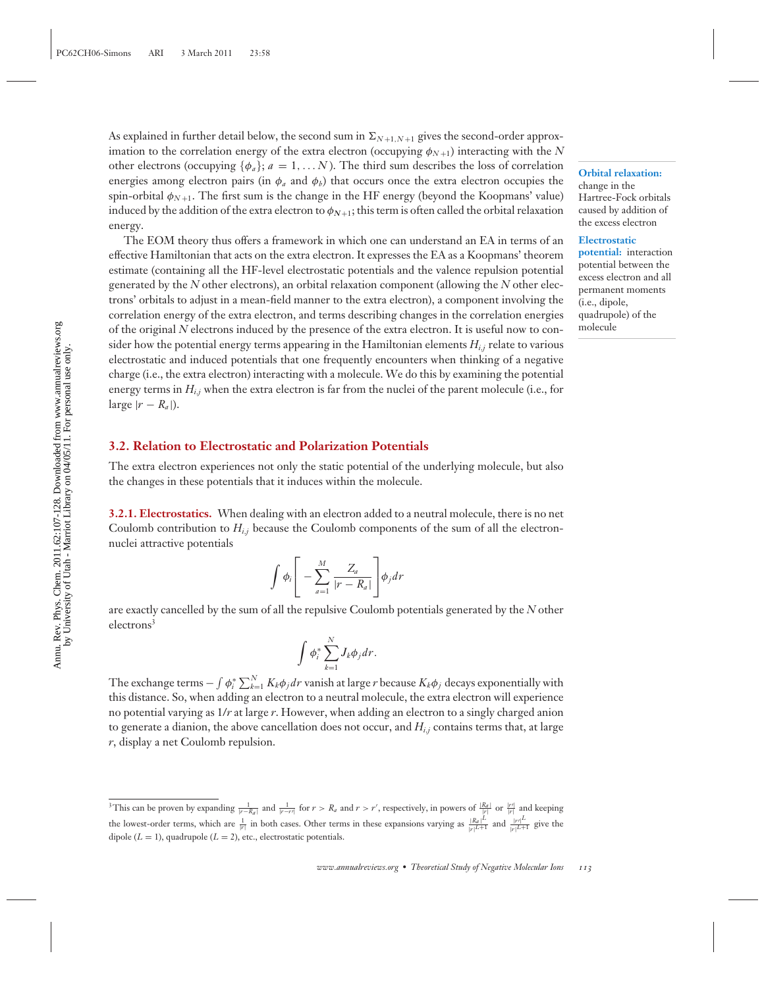As explained in further detail below, the second sum in  $\Sigma_{N+1,N+1}$  gives the second-order approximation to the correlation energy of the extra electron (occupying  $\phi_{N+1}$ ) interacting with the *N* other electrons (occupying  $\{\phi_a\}; a = 1, \ldots N$ ). The third sum describes the loss of correlation energies among electron pairs (in  $\phi_a$  and  $\phi_b$ ) that occurs once the extra electron occupies the spin-orbital  $\phi_{N+1}$ . The first sum is the change in the HF energy (beyond the Koopmans' value) induced by the addition of the extra electron to  $\phi_{N+1}$ ; this term is often called the orbital relaxation energy.

The EOM theory thus offers a framework in which one can understand an EA in terms of an effective Hamiltonian that acts on the extra electron. It expresses the EA as a Koopmans' theorem estimate (containing all the HF-level electrostatic potentials and the valence repulsion potential generated by the *N* other electrons), an orbital relaxation component (allowing the *N* other electrons' orbitals to adjust in a mean-field manner to the extra electron), a component involving the correlation energy of the extra electron, and terms describing changes in the correlation energies of the original *N* electrons induced by the presence of the extra electron. It is useful now to consider how the potential energy terms appearing in the Hamiltonian elements  $H_{i,j}$  relate to various electrostatic and induced potentials that one frequently encounters when thinking of a negative charge (i.e., the extra electron) interacting with a molecule. We do this by examining the potential energy terms in *Hi*,*<sup>j</sup>* when the extra electron is far from the nuclei of the parent molecule (i.e., for large  $|r - R_a|$ ).

# **3.2. Relation to Electrostatic and Polarization Potentials**

The extra electron experiences not only the static potential of the underlying molecule, but also the changes in these potentials that it induces within the molecule.

**3.2.1. Electrostatics.** When dealing with an electron added to a neutral molecule, there is no net Coulomb contribution to *Hi*,*<sup>j</sup>* because the Coulomb components of the sum of all the electronnuclei attractive potentials

$$
\int \phi_i \left[ - \sum_{a=1}^M \frac{Z_a}{|r - R_a|} \right] \phi_j dr
$$

are exactly cancelled by the sum of all the repulsive Coulomb potentials generated by the *N* other electrons<sup>3</sup>

$$
\int \phi_i^* \sum_{k=1}^N J_k \phi_j dr.
$$

The exchange terms  $-\int \phi_i^* \sum_{k=1}^N K_k \phi_j dr$  vanish at large  $r$  because  $K_k \phi_j$  decays exponentially with this distance. So, when adding an electron to a neutral molecule, the extra electron will experience no potential varying as 1/*r* at large *r*. However, when adding an electron to a singly charged anion to generate a dianion, the above cancellation does not occur, and *Hi*,*<sup>j</sup>* contains terms that, at large *r*, display a net Coulomb repulsion.

#### *www.annualreviews.org* • *Theoretical Study of Negative Molecular Ions 113*

**Orbital relaxation:** change in the Hartree-Fock orbitals caused by addition of the excess electron

## **Electrostatic**

**potential:** interaction potential between the excess electron and all permanent moments (i.e., dipole, quadrupole) of the molecule

<sup>&</sup>lt;sup>3</sup>This can be proven by expanding  $\frac{1}{|r-R_a|}$  and  $\frac{1}{|r-r'|}$  for  $r > R_a$  and  $r > r'$ , respectively, in powers of  $\frac{|R_a|}{|r|}$  or  $\frac{|r'|}{|r|}$  and keeping the lowest-order terms, which are  $\frac{1}{|r|}$  in both cases. Other terms in these expansions varying as  $\frac{|R_a|^L}{|r|^{L+1}}$  and  $\frac{|r|^{L}}{|r|^{L+1}}$  give the dipole  $(L = 1)$ , quadrupole  $(L = 2)$ , etc., electrostatic potentials.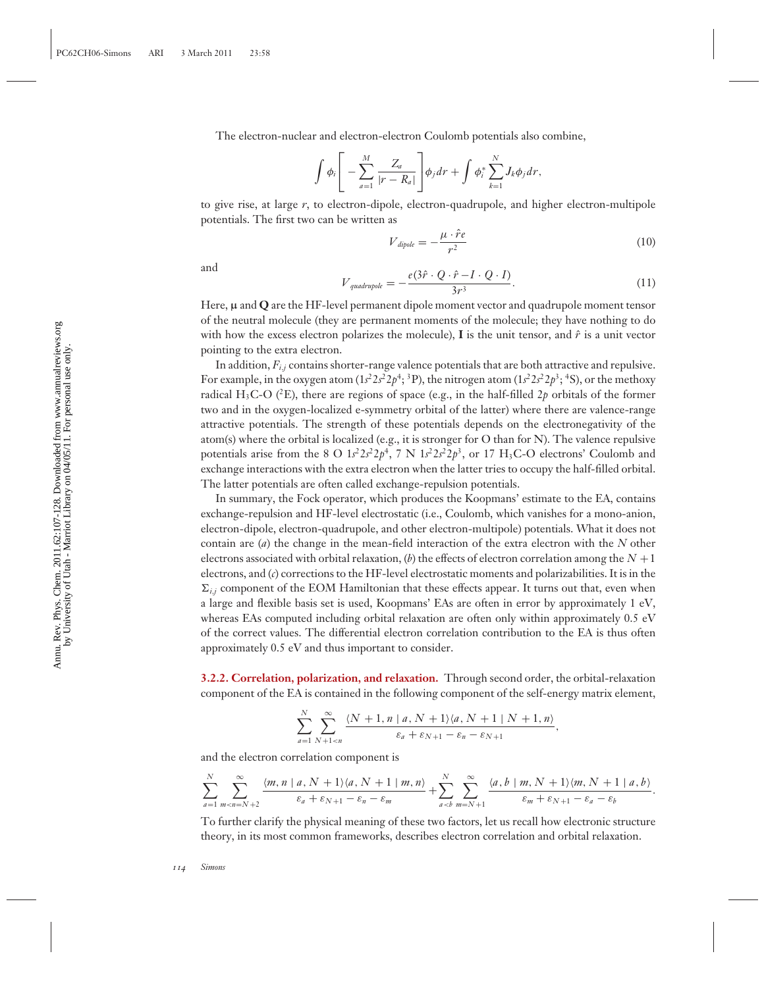The electron-nuclear and electron-electron Coulomb potentials also combine,

$$
\int \phi_i \left[ - \sum_{a=1}^M \frac{Z_a}{|r - R_a|} \right] \phi_j dr + \int \phi_i^* \sum_{k=1}^N J_k \phi_j dr,
$$

to give rise, at large *r*, to electron-dipole, electron-quadrupole, and higher electron-multipole potentials. The first two can be written as

$$
V_{\text{dipole}} = -\frac{\mu \cdot \hat{r}e}{r^2} \tag{10}
$$

and

$$
V_{\text{quadrupole}} = -\frac{e(3\hat{r} \cdot Q \cdot \hat{r} - I \cdot Q \cdot I)}{3r^3}.
$$
\n(11)

Here, **μ** and **Q** are the HF-level permanent dipole moment vector and quadrupole moment tensor of the neutral molecule (they are permanent moments of the molecule; they have nothing to do with how the excess electron polarizes the molecule), **I** is the unit tensor, and  $\hat{r}$  is a unit vector pointing to the extra electron.

In addition, *Fi*,*<sup>j</sup>* contains shorter-range valence potentials that are both attractive and repulsive. For example, in the oxygen atom (1*s*<sup>2</sup>2*s*<sup>2</sup>2*p*<sup>4</sup>; <sup>3</sup> P), the nitrogen atom (1*s*<sup>2</sup>2*s*<sup>2</sup>2*p*<sup>3</sup>; <sup>4</sup>S), or the methoxy radical H<sub>3</sub>C-O (<sup>2</sup>E), there are regions of space (e.g., in the half-filled 2*p* orbitals of the former two and in the oxygen-localized e-symmetry orbital of the latter) where there are valence-range attractive potentials. The strength of these potentials depends on the electronegativity of the atom(s) where the orbital is localized (e.g., it is stronger for O than for N). The valence repulsive potentials arise from the 8 O  $1s^2 2s^2 2p^4$ , 7 N  $1s^2 2s^2 2p^3$ , or 17 H<sub>3</sub>C-O electrons' Coulomb and exchange interactions with the extra electron when the latter tries to occupy the half-filled orbital. The latter potentials are often called exchange-repulsion potentials.

In summary, the Fock operator, which produces the Koopmans' estimate to the EA, contains exchange-repulsion and HF-level electrostatic (i.e., Coulomb, which vanishes for a mono-anion, electron-dipole, electron-quadrupole, and other electron-multipole) potentials. What it does not contain are (*a*) the change in the mean-field interaction of the extra electron with the *N* other electrons associated with orbital relaxation, (*b*) the effects of electron correlation among the  $N + 1$ electrons, and (*c*) corrections to the HF-level electrostatic moments and polarizabilities. It is in the  $\Sigma_{i,i}$  component of the EOM Hamiltonian that these effects appear. It turns out that, even when a large and flexible basis set is used, Koopmans' EAs are often in error by approximately 1 eV, whereas EAs computed including orbital relaxation are often only within approximately 0.5 eV of the correct values. The differential electron correlation contribution to the EA is thus often approximately 0.5 eV and thus important to consider.

**3.2.2. Correlation, polarization, and relaxation.** Through second order, the orbital-relaxation component of the EA is contained in the following component of the self-energy matrix element,

$$
\sum_{a=1}^N \sum_{N+1
$$

and the electron correlation component is

$$
\sum_{a=1}^N \sum_{m
$$

To further clarify the physical meaning of these two factors, let us recall how electronic structure theory, in its most common frameworks, describes electron correlation and orbital relaxation.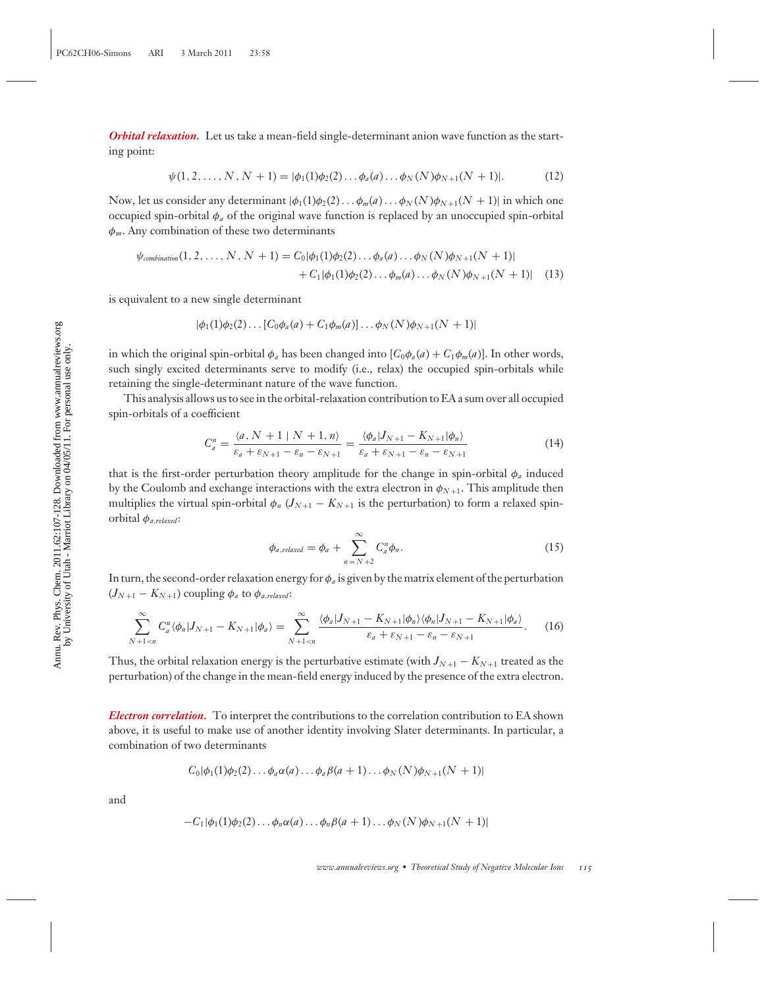*Orbital relaxation.* Let us take a mean-field single-determinant anion wave function as the starting point:

$$
\psi(1, 2, \dots, N, N+1) = |\phi_1(1)\phi_2(2)\dots\phi_a(a)\dots\phi_N(N)\phi_{N+1}(N+1)|.
$$
 (12)

Now, let us consider any determinant  $|\phi_1(1)\phi_2(2)\dots\phi_m(a)\dots\phi_N(N)\phi_{N+1}(N+1)|$  in which one occupied spin-orbital  $\phi_a$  of the original wave function is replaced by an unoccupied spin-orbital  $\phi_m$ . Any combination of these two determinants

$$
\psi_{combination}(1, 2, ..., N, N + 1) = C_0|\phi_1(1)\phi_2(2)... \phi_a(a)... \phi_N(N)\phi_{N+1}(N + 1)| + C_1|\phi_1(1)\phi_2(2)... \phi_m(a)... \phi_N(N)\phi_{N+1}(N + 1)|
$$
(13)

is equivalent to a new single determinant

$$
|\phi_1(1)\phi_2(2)\dots[C_0\phi_a(a)+C_1\phi_m(a)]\dots\phi_N(N)\phi_{N+1}(N+1)|
$$

in which the original spin-orbital  $\phi_a$  has been changed into  $[C_0\phi_a(a) + C_1\phi_m(a)]$ . In other words, such singly excited determinants serve to modify (i.e., relax) the occupied spin-orbitals while retaining the single-determinant nature of the wave function.

This analysis allows us to see in the orbital-relaxation contribution to EA a sum over all occupied spin-orbitals of a coefficient

$$
C_a^n = \frac{\langle a, N+1 \mid N+1, n \rangle}{\varepsilon_a + \varepsilon_{N+1} - \varepsilon_n - \varepsilon_{N+1}} = \frac{\langle \phi_a | J_{N+1} - K_{N+1} | \phi_n \rangle}{\varepsilon_a + \varepsilon_{N+1} - \varepsilon_n - \varepsilon_{N+1}}
$$
(14)

that is the first-order perturbation theory amplitude for the change in spin-orbital  $\phi_a$  induced by the Coulomb and exchange interactions with the extra electron in  $\phi_{N+1}$ . This amplitude then multiplies the virtual spin-orbital  $\phi_n$  ( $J_{N+1} - K_{N+1}$  is the perturbation) to form a relaxed spinorbital φ*a*,*relaxed* :

$$
\phi_{a,relaxed} = \phi_a + \sum_{n=N+2}^{\infty} C_a^n \phi_n.
$$
\n(15)

In turn, the second-order relaxation energy for  $\phi_a$  is given by the matrix element of the perturbation  $(J_{N+1} - K_{N+1})$  coupling  $\phi_a$  to  $\phi_{a,relaxed}$ :

$$
\sum_{N+1 (16)
$$

Thus, the orbital relaxation energy is the perturbative estimate (with  $J_{N+1} - K_{N+1}$  treated as the perturbation) of the change in the mean-field energy induced by the presence of the extra electron.

*Electron correlation.* To interpret the contributions to the correlation contribution to EA shown above, it is useful to make use of another identity involving Slater determinants. In particular, a combination of two determinants

$$
C_0|\phi_1(1)\phi_2(2)\dots\phi_a\alpha(a)\dots\phi_a\beta(a+1)\dots\phi_N(N)\phi_{N+1}(N+1)|
$$

and

$$
-C_1|\phi_1(1)\phi_2(2)\dots\phi_n\alpha(a)\dots\phi_n\beta(a+1)\dots\phi_N(N)\phi_{N+1}(N+1)|
$$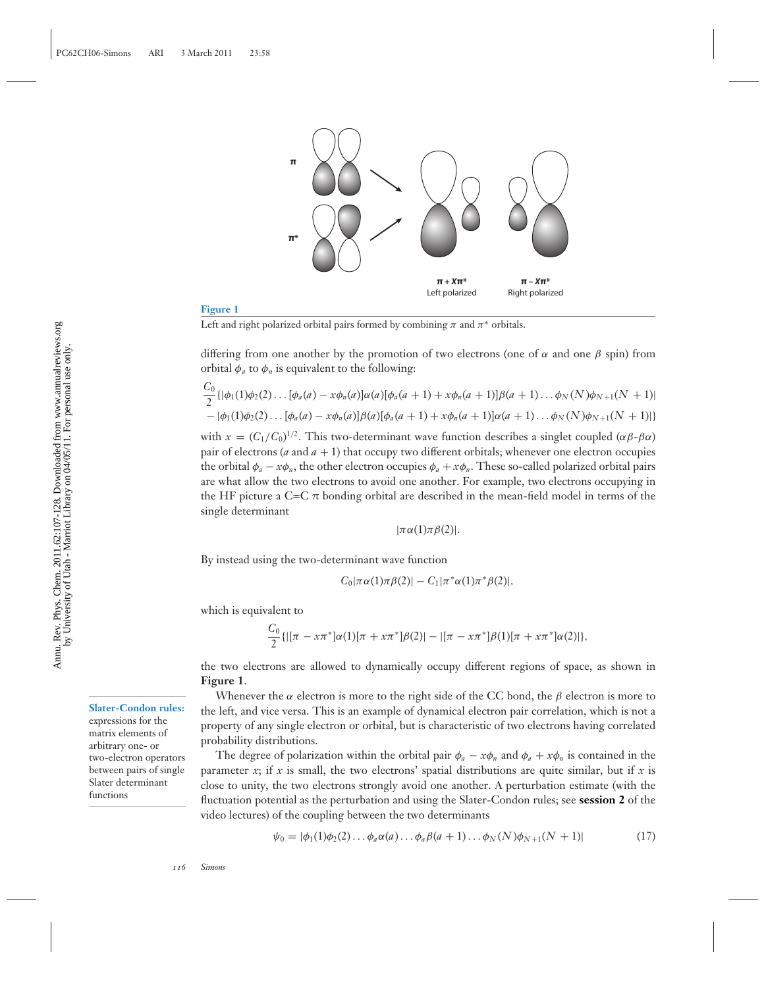

Left and right polarized orbital pairs formed by combining  $\pi$  and  $\pi^*$  orbitals.

differing from one another by the promotion of two electrons (one of  $\alpha$  and one  $\beta$  spin) from orbital  $\phi_a$  to  $\phi_n$  is equivalent to the following:

$$
\frac{C_0}{2} \{ |\phi_1(1)\phi_2(2)\dots[\phi_a(a) - x\phi_n(a)]\alpha(a) [\phi_a(a+1) + x\phi_n(a+1)]\beta(a+1)\dots\phi_N(N)\phi_{N+1}(N+1)|
$$
  
  $-|\phi_1(1)\phi_2(2)\dots[\phi_a(a) - x\phi_n(a)]\beta(a) [\phi_a(a+1) + x\phi_n(a+1)]\alpha(a+1)\dots\phi_N(N)\phi_{N+1}(N+1)|\}$   
with  $x = (C_1/C_0)^{1/2}$ . This two-determinant wave function describes a singlet coupled  $(\alpha\beta - \beta\alpha)$   
pair of electrons  $(a$  and  $a + 1)$  that occupy two different orbitals; whenever one electron occupies  
the orbital  $\phi_a - x\phi_n$ , the other electron occupies  $\phi_a + x\phi_n$ . These so-called polarized orbital pairs  
are what allow the two electrons to avoid one another. For example, two electrons occupying in  
the HF picture a C=C  $\pi$  bonding orbital are described in the mean-field model in terms of the  
single determinant

$$
|\pi\alpha(1)\pi\beta(2)|.
$$

By instead using the two-determinant wave function

$$
C_0|\pi\alpha(1)\pi\beta(2)|-C_1|\pi^*\alpha(1)\pi^*\beta(2)|,
$$

which is equivalent to

$$
\frac{C_0}{2}\{|\pi - x\pi^*]\alpha(1)[\pi + x\pi^*]\beta(2)| - |\pi - x\pi^*]\beta(1)[\pi + x\pi^*]\alpha(2)|\},\
$$

the two electrons are allowed to dynamically occupy different regions of space, as shown in **Figure 1**.

Whenever the  $\alpha$  electron is more to the right side of the CC bond, the  $\beta$  electron is more to the left, and vice versa. This is an example of dynamical electron pair correlation, which is not a property of any single electron or orbital, but is characteristic of two electrons having correlated probability distributions.

The degree of polarization within the orbital pair  $\phi_a - x\phi_n$  and  $\phi_a + x\phi_n$  is contained in the parameter  $x$ ; if  $x$  is small, the two electrons' spatial distributions are quite similar, but if  $x$  is close to unity, the two electrons strongly avoid one another. A perturbation estimate (with the fluctuation potential as the perturbation and using the Slater-Condon rules; see **[session 2](http://www.hec.utah.edu/ESTheory/session02.html)** of the video lectures) of the coupling between the two determinants

$$
\psi_0 = |\phi_1(1)\phi_2(2)\dots\phi_a\alpha(a)\dots\phi_a\beta(a+1)\dots\phi_N(N)\phi_{N+1}(N+1)|
$$
\n(17)

**Slater-Condon rules:**

expressions for the matrix elements of arbitrary one- or two-electron operators between pairs of single Slater determinant functions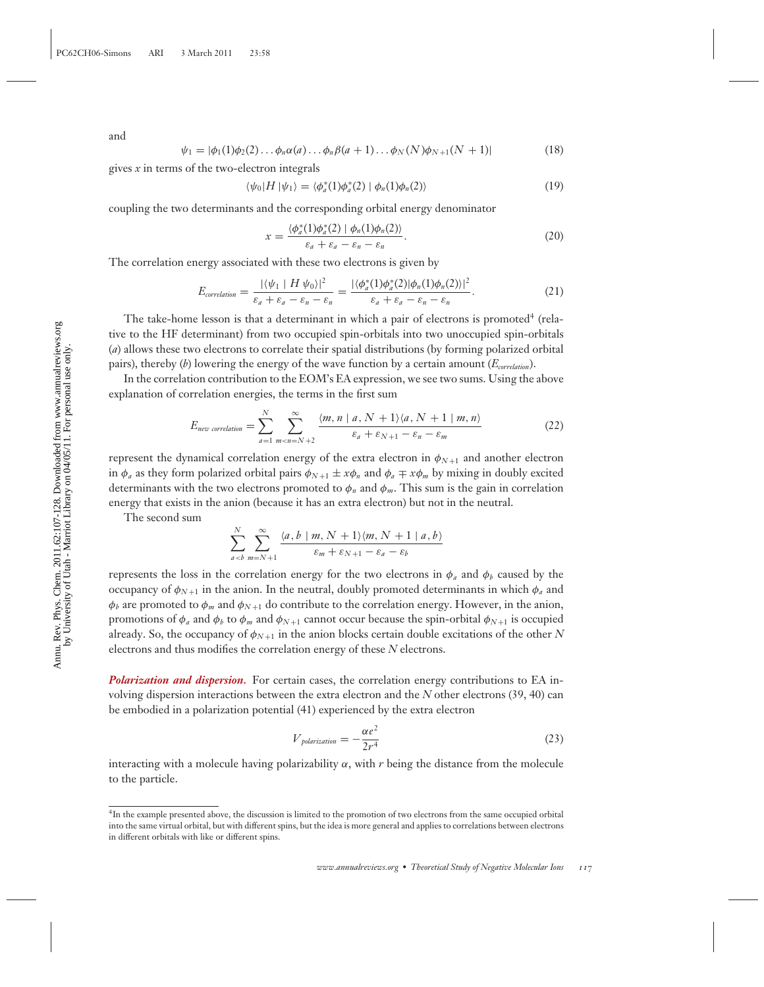and

$$
\psi_1 = |\phi_1(1)\phi_2(2)\dots\phi_n\alpha(a)\dots\phi_n\beta(a+1)\dots\phi_N(N)\phi_{N+1}(N+1)|
$$
\n(18)

gives *x* in terms of the two-electron integrals

$$
\langle \psi_0 | H | \psi_1 \rangle = \langle \phi_a^* (1) \phi_a^* (2) | \phi_n (1) \phi_n (2) \rangle \tag{19}
$$

coupling the two determinants and the corresponding orbital energy denominator

$$
x = \frac{\langle \phi_a^*(1)\phi_a^*(2) | \phi_n(1)\phi_n(2) \rangle}{\varepsilon_a + \varepsilon_a - \varepsilon_n - \varepsilon_n}.
$$
 (20)

The correlation energy associated with these two electrons is given by

$$
E_{correlation} = \frac{|\langle \psi_1 | H \psi_0 \rangle|^2}{\varepsilon_a + \varepsilon_a - \varepsilon_n - \varepsilon_n} = \frac{|\langle \phi_a^*(1)\phi_a^*(2)|\phi_n(1)\phi_n(2)\rangle|^2}{\varepsilon_a + \varepsilon_a - \varepsilon_n - \varepsilon_n}.
$$
 (21)

The take-home lesson is that a determinant in which a pair of electrons is promoted<sup>4</sup> (relative to the HF determinant) from two occupied spin-orbitals into two unoccupied spin-orbitals (*a*) allows these two electrons to correlate their spatial distributions (by forming polarized orbital pairs), thereby (*b*) lowering the energy of the wave function by a certain amount (*Ecorrelation*).

In the correlation contribution to the EOM's EA expression, we see two sums. Using the above explanation of correlation energies, the terms in the first sum

$$
E_{new\ correlation} = \sum_{a=1}^{N} \sum_{m(22)
$$

represent the dynamical correlation energy of the extra electron in  $\phi_{N+1}$  and another electron in  $\phi_a$  as they form polarized orbital pairs  $\phi_{N+1} \pm x\phi_n$  and  $\phi_a \mp x\phi_m$  by mixing in doubly excited determinants with the two electrons promoted to  $\phi_n$  and  $\phi_m$ . This sum is the gain in correlation energy that exists in the anion (because it has an extra electron) but not in the neutral.

The second sum

$$
\sum_{a
$$

represents the loss in the correlation energy for the two electrons in  $\phi_a$  and  $\phi_b$  caused by the occupancy of  $\phi_{N+1}$  in the anion. In the neutral, doubly promoted determinants in which  $\phi_a$  and  $\phi_b$  are promoted to  $\phi_m$  and  $\phi_{N+1}$  do contribute to the correlation energy. However, in the anion, promotions of  $\phi_a$  and  $\phi_b$  to  $\phi_m$  and  $\phi_{N+1}$  cannot occur because the spin-orbital  $\phi_{N+1}$  is occupied already. So, the occupancy of  $\phi_{N+1}$  in the anion blocks certain double excitations of the other *N* electrons and thus modifies the correlation energy of these *N* electrons.

**Polarization and dispersion.** For certain cases, the correlation energy contributions to EA involving dispersion interactions between the extra electron and the *N* other electrons (39, 40) can be embodied in a polarization potential (41) experienced by the extra electron

$$
V_{polarization} = -\frac{\alpha e^2}{2r^4} \tag{23}
$$

interacting with a molecule having polarizability  $\alpha$ , with  $r$  being the distance from the molecule to the particle.

<sup>4</sup>In the example presented above, the discussion is limited to the promotion of two electrons from the same occupied orbital into the same virtual orbital, but with different spins, but the idea is more general and applies to correlations between electrons in different orbitals with like or different spins.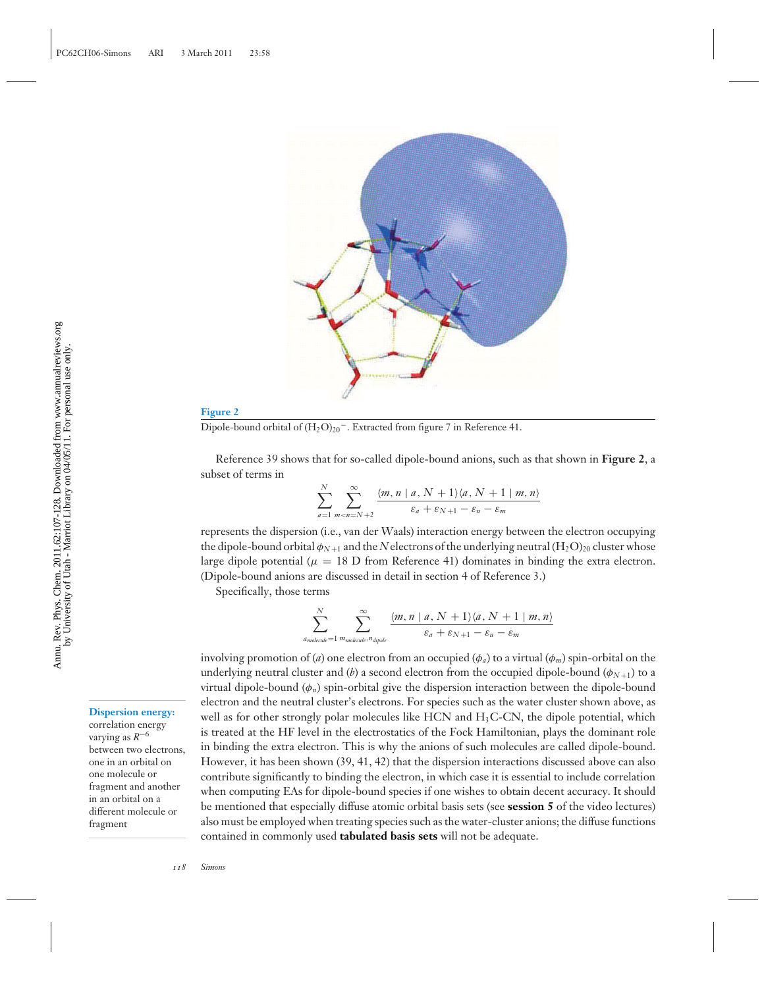

Dipole-bound orbital of (H2O)20<sup>−</sup>. Extracted from figure 7 in Reference 41.

Reference 39 shows that for so-called dipole-bound anions, such as that shown in **Figure 2**, a subset of terms in

$$
\sum_{a=1}^N \sum_{m
$$

represents the dispersion (i.e., van der Waals) interaction energy between the electron occupying the dipole-bound orbital  $\phi_{N+1}$  and the *N* electrons of the underlying neutral (H<sub>2</sub>O)<sub>20</sub> cluster whose large dipole potential ( $\mu = 18$  D from Reference 41) dominates in binding the extra electron. (Dipole-bound anions are discussed in detail in section 4 of Reference 3.)

Specifically, those terms

$$
\sum_{a_{molecule}=1}^{N} \sum_{m_{molecule}, n_{dipole}}^{\infty} \frac{\langle m, n \mid a, N+1 \rangle \langle a, N+1 \mid m, n \rangle}{\varepsilon_a + \varepsilon_{N+1} - \varepsilon_n - \varepsilon_m}
$$

involving promotion of (*a*) one electron from an occupied (φ*a*) to a virtual (φ*m*) spin-orbital on the underlying neutral cluster and (*b*) a second electron from the occupied dipole-bound ( $\phi_{N+1}$ ) to a virtual dipole-bound (φ*n*) spin-orbital give the dispersion interaction between the dipole-bound electron and the neutral cluster's electrons. For species such as the water cluster shown above, as well as for other strongly polar molecules like HCN and  $H_3C$ -CN, the dipole potential, which is treated at the HF level in the electrostatics of the Fock Hamiltonian, plays the dominant role in binding the extra electron. This is why the anions of such molecules are called dipole-bound. However, it has been shown (39, 41, 42) that the dispersion interactions discussed above can also contribute significantly to binding the electron, in which case it is essential to include correlation when computing EAs for dipole-bound species if one wishes to obtain decent accuracy. It should be mentioned that especially diffuse atomic orbital basis sets (see **[session 5](http://www.hec.utah.edu/ESTheory/session05.html)** of the video lectures) also must be employed when treating species such as the water-cluster anions; the diffuse functions contained in commonly used **[tabulated basis sets](https://bse.pnl.gov/bse/portal)** will not be adequate.

#### **Dispersion energy:**

correlation energy varying as *R*−<sup>6</sup> between two electrons, one in an orbital on one molecule or fragment and another in an orbital on a different molecule or fragment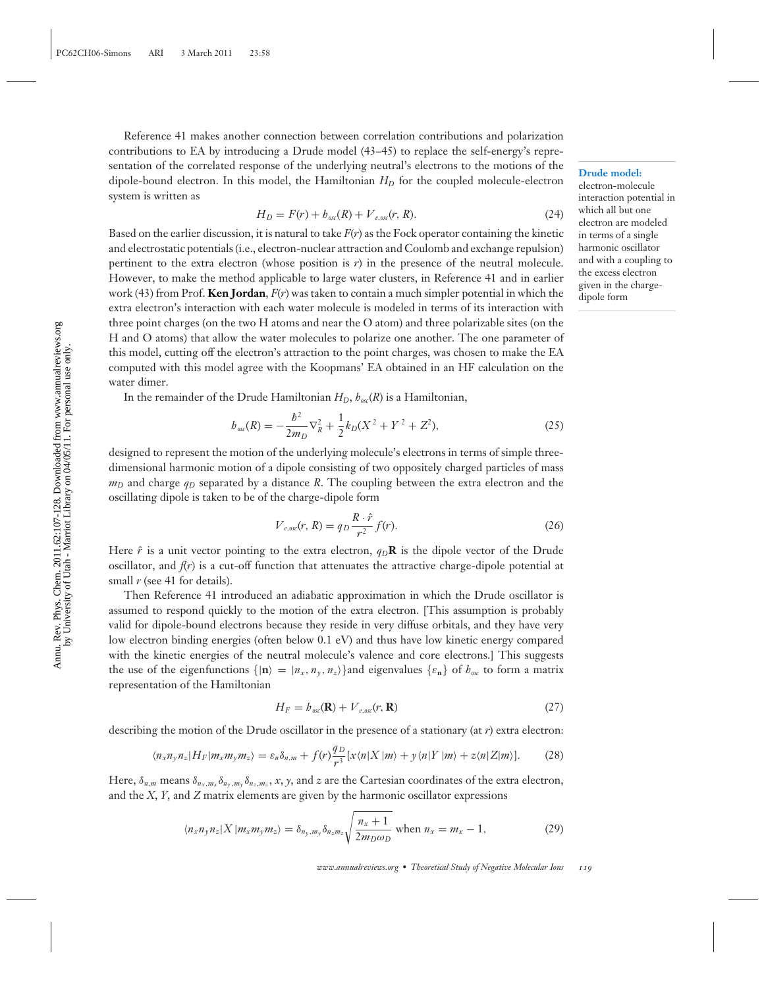Reference 41 makes another connection between correlation contributions and polarization contributions to EA by introducing a Drude model (43–45) to replace the self-energy's representation of the correlated response of the underlying neutral's electrons to the motions of the dipole-bound electron. In this model, the Hamiltonian *HD* for the coupled molecule-electron system is written as

$$
H_D = F(r) + b_{ox}(R) + V_{e,ox}(r, R). \tag{24}
$$

Based on the earlier discussion, it is natural to take *F*(*r*) as the Fock operator containing the kinetic and electrostatic potentials (i.e., electron-nuclear attraction and Coulomb and exchange repulsion) pertinent to the extra electron (whose position is *r*) in the presence of the neutral molecule. However, to make the method applicable to large water clusters, in Reference 41 and in earlier work (43) from Prof. **[Ken Jordan](http://www.pitt.edu/ jordan/index.html)**, *F*(*r*) was taken to contain a much simpler potential in which the extra electron's interaction with each water molecule is modeled in terms of its interaction with three point charges (on the two H atoms and near the O atom) and three polarizable sites (on the H and O atoms) that allow the water molecules to polarize one another. The one parameter of this model, cutting off the electron's attraction to the point charges, was chosen to make the EA computed with this model agree with the Koopmans' EA obtained in an HF calculation on the water dimer.

In the remainder of the Drude Hamiltonian  $H_D$ ,  $h_{ox}(R)$  is a Hamiltonian,

$$
b_{\rm osc}(R) = -\frac{\hbar^2}{2m_D} \nabla_R^2 + \frac{1}{2} k_D (X^2 + Y^2 + Z^2),\tag{25}
$$

designed to represent the motion of the underlying molecule's electrons in terms of simple threedimensional harmonic motion of a dipole consisting of two oppositely charged particles of mass  $m_D$  and charge  $q_D$  separated by a distance *R*. The coupling between the extra electron and the oscillating dipole is taken to be of the charge-dipole form

$$
V_{e,osc}(r, R) = q_D \frac{R \cdot \hat{r}}{r^2} f(r). \tag{26}
$$

Here  $\hat{r}$  is a unit vector pointing to the extra electron,  $q<sub>D</sub>$ **R** is the dipole vector of the Drude oscillator, and  $f(r)$  is a cut-off function that attenuates the attractive charge-dipole potential at small *r* (see 41 for details).

Then Reference 41 introduced an adiabatic approximation in which the Drude oscillator is assumed to respond quickly to the motion of the extra electron. [This assumption is probably valid for dipole-bound electrons because they reside in very diffuse orbitals, and they have very low electron binding energies (often below 0.1 eV) and thus have low kinetic energy compared with the kinetic energies of the neutral molecule's valence and core electrons.] This suggests the use of the eigenfunctions  $\{|\mathbf{n}\rangle=|n_x,n_y,n_z\rangle\}$  and eigenvalues  $\{\varepsilon_n\}$  of  $h_{\omega\zeta}$  to form a matrix representation of the Hamiltonian

$$
H_F = h_{osc}(\mathbf{R}) + V_{e,osc}(r, \mathbf{R})
$$
\n(27)

describing the motion of the Drude oscillator in the presence of a stationary (at *r*) extra electron:

$$
\langle n_x n_y n_z | H_F | m_x m_y m_z \rangle = \varepsilon_n \delta_{n,m} + f(r) \frac{q_D}{r^3} \left[ x \langle n | X | m \rangle + y \langle n | Y | m \rangle + z \langle n | Z | m \rangle \right]. \tag{28}
$$

Here,  $\delta_{n,m}$  means  $\delta_{n_x,m_x}\delta_{n_y,m_y}\delta_{n_z,m_z}$ , x, y, and *z* are the Cartesian coordinates of the extra electron, and the *X*, *Y*, and *Z* matrix elements are given by the harmonic oscillator expressions

$$
\langle n_x n_y n_z | X | m_x m_y m_z \rangle = \delta_{n_y, m_y} \delta_{n_z m_z} \sqrt{\frac{n_x + 1}{2m_D \omega_D}} \text{ when } n_x = m_x - 1,
$$
 (29)

electron-molecule interaction potential in which all but one electron are modeled in terms of a single harmonic oscillator and with a coupling to the excess electron given in the chargedipole form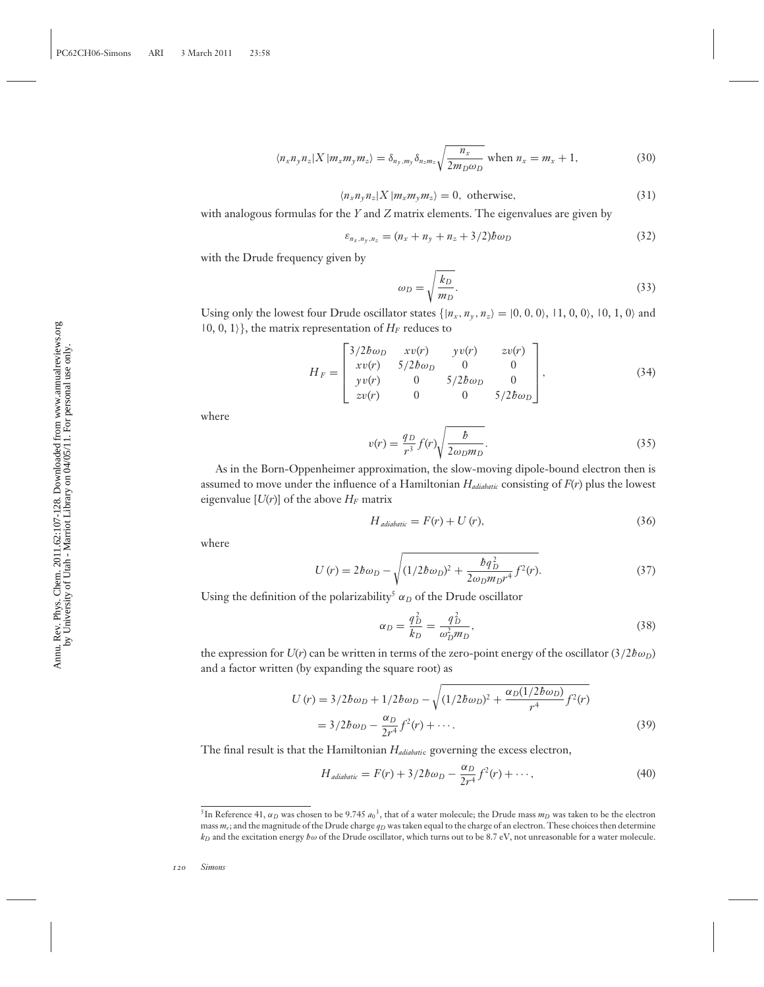$$
\langle n_x n_y n_z | X | m_x m_y m_z \rangle = \delta_{n_y, m_y} \delta_{n_z m_z} \sqrt{\frac{n_x}{2m_D \omega_D}} \text{ when } n_x = m_x + 1,
$$
 (30)

$$
\langle n_x n_y n_z | X | m_x m_y m_z \rangle = 0, \text{ otherwise,}
$$
\n(31)

with analogous formulas for the *Y* and *Z* matrix elements. The eigenvalues are given by

$$
\varepsilon_{n_x,n_y,n_z} = (n_x+n_y+n_z+3/2)\hbar\omega_D \tag{32}
$$

with the Drude frequency given by

$$
\omega_D = \sqrt{\frac{k_D}{m_D}}.\tag{33}
$$

Using only the lowest four Drude oscillator states  $\{|n_x, n_y, n_z\rangle = |0, 0, 0\rangle, 11, 0, 0\rangle, 10, 1, 0\rangle$  and  $|0, 0, 1\rangle$ , the matrix representation of  $H_F$  reduces to

$$
H_F = \begin{bmatrix} 3/2\hbar\omega_D & xv(r) & yv(r) & zv(r) \\ xv(r) & 5/2\hbar\omega_D & 0 & 0 \\ yv(r) & 0 & 5/2\hbar\omega_D & 0 \\ zv(r) & 0 & 0 & 5/2\hbar\omega_D \end{bmatrix},
$$
(34)

where

$$
v(r) = \frac{q_D}{r^3} f(r) \sqrt{\frac{\hbar}{2\omega_D m_D}}.
$$
\n(35)

As in the Born-Oppenheimer approximation, the slow-moving dipole-bound electron then is assumed to move under the influence of a Hamiltonian *Hadiabatic* consisting of *F*(*r*) plus the lowest eigenvalue  $[U(r)]$  of the above  $H_F$  matrix

$$
H_{adiabatic} = F(r) + U(r),\tag{36}
$$

where

$$
U(r) = 2\hbar\omega_D - \sqrt{(1/2\hbar\omega_D)^2 + \frac{\hbar q_D^2}{2\omega_D m_D r^4}} f^2(r). \tag{37}
$$

Using the definition of the polarizability<sup>5</sup>  $\alpha_D$  of the Drude oscillator

$$
\alpha_D = \frac{q_D^2}{k_D} = \frac{q_D^2}{\omega_D^2 m_D},\tag{38}
$$

the expression for  $U(r)$  can be written in terms of the zero-point energy of the oscillator (3/2*h*ω<sub>*D*</sub>) and a factor written (by expanding the square root) as

$$
U(r) = 3/2\hbar\omega_D + 1/2\hbar\omega_D - \sqrt{(1/2\hbar\omega_D)^2 + \frac{\alpha_D(1/2\hbar\omega_D)}{r^4}} f^2(r)
$$
  
= 3/2\hbar\omega\_D - \frac{\alpha\_D}{2r^4} f^2(r) + \cdots. (39)

The final result is that the Hamiltonian *Hadiabati*<sup>c</sup> governing the excess electron,

$$
H_{adiabatic} = F(r) + 3/2\hbar\omega_D - \frac{\alpha_D}{2r^4}f^2(r) + \cdots,
$$
\n(40)

<sup>&</sup>lt;sup>5</sup>In Reference 41,  $\alpha_D$  was chosen to be 9.745  $a_0$ <sup>3</sup>, that of a water molecule; the Drude mass  $m_D$  was taken to be the electron mass *me*; and the magnitude of the Drude charge *qD* was taken equal to the charge of an electron. These choices then determine *k*<sub>D</sub> and the excitation energy *h*ω of the Drude oscillator, which turns out to be 8.7 eV, not unreasonable for a water molecule.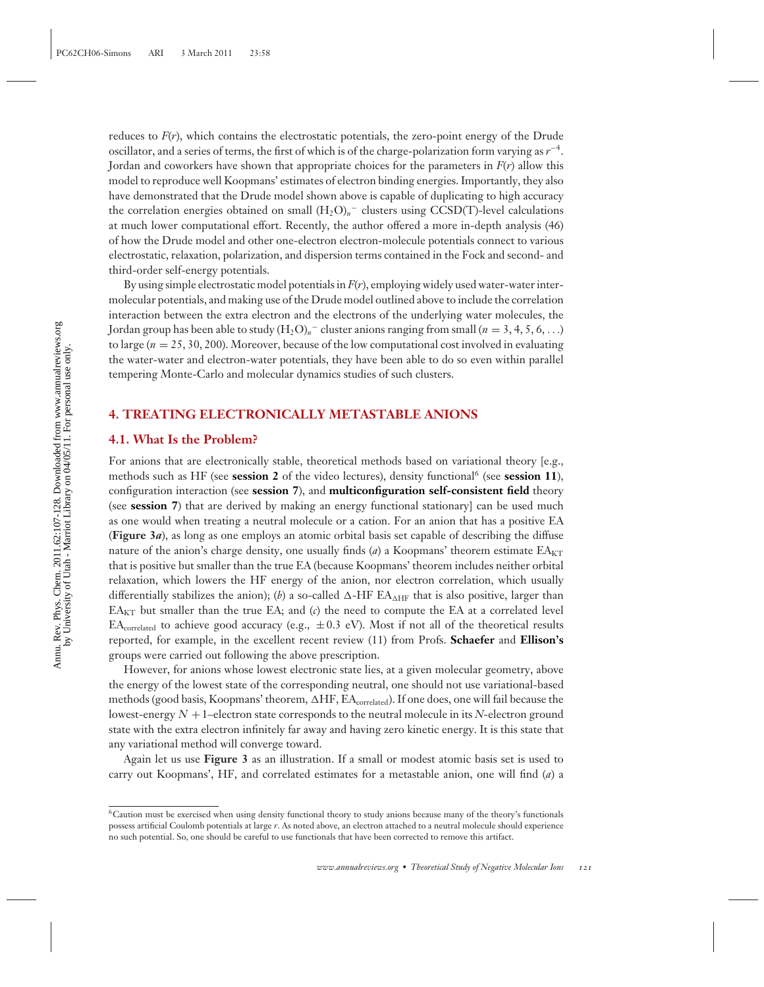reduces to  $F(r)$ , which contains the electrostatic potentials, the zero-point energy of the Drude oscillator, and a series of terms, the first of which is of the charge-polarization form varying as *r*<sup>−</sup>4. Jordan and coworkers have shown that appropriate choices for the parameters in *F*(*r*) allow this model to reproduce well Koopmans' estimates of electron binding energies. Importantly, they also have demonstrated that the Drude model shown above is capable of duplicating to high accuracy the correlation energies obtained on small (H2O)*<sup>n</sup>* <sup>−</sup> clusters using CCSD(T)-level calculations at much lower computational effort. Recently, the author offered a more in-depth analysis (46) of how the Drude model and other one-electron electron-molecule potentials connect to various electrostatic, relaxation, polarization, and dispersion terms contained in the Fock and second- and third-order self-energy potentials.

By using simple electrostatic model potentials in *F*(*r*), employing widely used water-water intermolecular potentials, and making use of the Drude model outlined above to include the correlation interaction between the extra electron and the electrons of the underlying water molecules, the Jordan group has been able to study (H2O)*<sup>n</sup>* <sup>−</sup> cluster anions ranging from small (*n* = 3, 4, 5, 6, ...) to large (*n* = 25, 30, 200). Moreover, because of the low computational cost involved in evaluating the water-water and electron-water potentials, they have been able to do so even within parallel tempering Monte-Carlo and molecular dynamics studies of such clusters.

## **4. TREATING ELECTRONICALLY METASTABLE ANIONS**

## **4.1. What Is the Problem?**

For anions that are electronically stable, theoretical methods based on variational theory [e.g., methods such as HF (see **[session 2](http://www.hec.utah.edu/ESTheory/session02.html)** of the video lectures), density functional<sup>6</sup> (see **[session 11](http://www.hec.utah.edu/ESTheory/session11.html)**), configuration interaction (see **[session 7](http://www.hec.utah.edu/ESTheory/session07.html)**), and **[multiconfiguration self-consistent field](http://www.hec.utah.edu/ESTheory/session07.html)** theory (see **[session 7](http://www.hec.utah.edu/ESTheory/session07.html)**) that are derived by making an energy functional stationary] can be used much as one would when treating a neutral molecule or a cation. For an anion that has a positive EA (**Figure 3***a*), as long as one employs an atomic orbital basis set capable of describing the diffuse nature of the anion's charge density, one usually finds (*a*) a Koopmans' theorem estimate  $EA_{KT}$ that is positive but smaller than the true EA (because Koopmans' theorem includes neither orbital relaxation, which lowers the HF energy of the anion, nor electron correlation, which usually differentially stabilizes the anion); (b) a so-called  $\Delta$ -HF EA<sub> $\Delta$ HF</sub> that is also positive, larger than  $EA_{KT}$  but smaller than the true EA; and  $(c)$  the need to compute the EA at a correlated level EA<sub>correlated</sub> to achieve good accuracy (e.g.,  $\pm 0.3$  eV). Most if not all of the theoretical results reported, for example, in the excellent recent review (11) from Profs. **[Schaefer](http://www.chem.uga.edu/DoC/ResFacHFS.html)** and **[Ellison's](http://www.colorado.edu/chem/ellison/)** groups were carried out following the above prescription.

However, for anions whose lowest electronic state lies, at a given molecular geometry, above the energy of the lowest state of the corresponding neutral, one should not use variational-based methods (good basis, Koopmans' theorem,  $\Delta H\mathbf{F}$ ,  $\mathbf{E}\mathbf{A}_{\text{correlated}}$ ). If one does, one will fail because the lowest-energy *N* +1–electron state corresponds to the neutral molecule in its *N*-electron ground state with the extra electron infinitely far away and having zero kinetic energy. It is this state that any variational method will converge toward.

Again let us use **Figure 3** as an illustration. If a small or modest atomic basis set is used to carry out Koopmans', HF, and correlated estimates for a metastable anion, one will find (*a*) a

<sup>6</sup>Caution must be exercised when using density functional theory to study anions because many of the theory's functionals possess artificial Coulomb potentials at large *r*. As noted above, an electron attached to a neutral molecule should experience no such potential. So, one should be careful to use functionals that have been corrected to remove this artifact.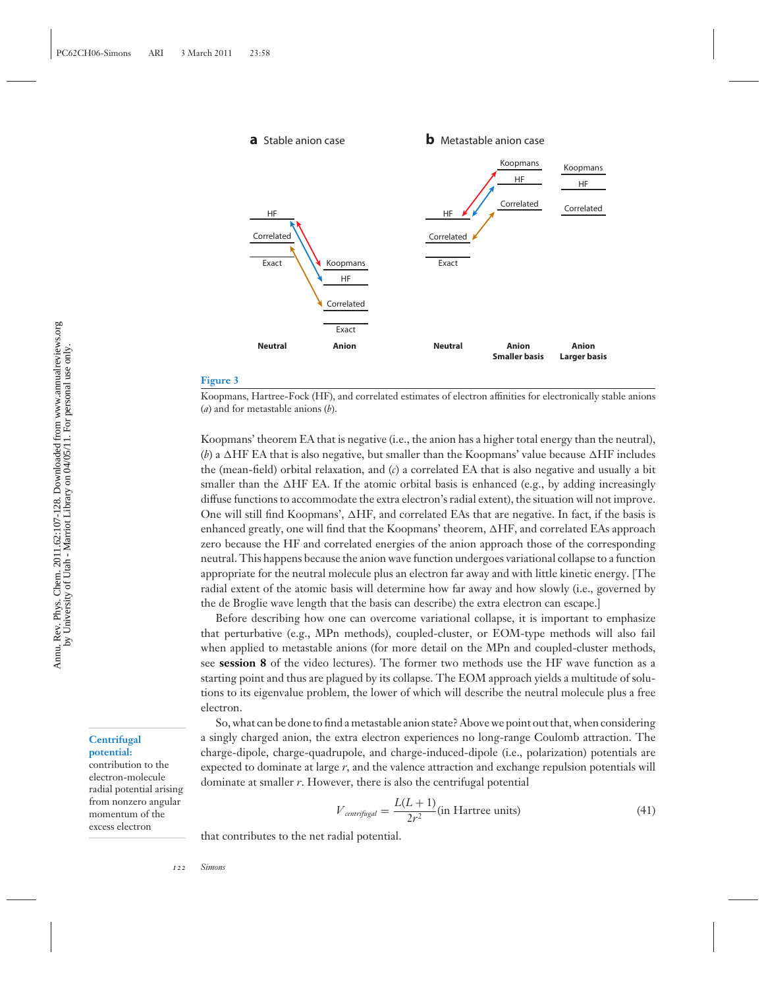

Koopmans, Hartree-Fock (HF), and correlated estimates of electron affinities for electronically stable anions (*a*) and for metastable anions (*b*).

Koopmans' theorem EA that is negative (i.e., the anion has a higher total energy than the neutral),  $(b)$  a  $\Delta$ HF EA that is also negative, but smaller than the Koopmans' value because  $\Delta$ HF includes the (mean-field) orbital relaxation, and (*c*) a correlated EA that is also negative and usually a bit smaller than the  $\triangle H$ F EA. If the atomic orbital basis is enhanced (e.g., by adding increasingly diffuse functions to accommodate the extra electron's radial extent), the situation will not improve. One will still find Koopmans',  $\Delta H$ F, and correlated EAs that are negative. In fact, if the basis is enhanced greatly, one will find that the Koopmans' theorem,  $\Delta H$ F, and correlated EAs approach zero because the HF and correlated energies of the anion approach those of the corresponding neutral. This happens because the anion wave function undergoes variational collapse to a function appropriate for the neutral molecule plus an electron far away and with little kinetic energy. [The radial extent of the atomic basis will determine how far away and how slowly (i.e., governed by the de Broglie wave length that the basis can describe) the extra electron can escape.]

Before describing how one can overcome variational collapse, it is important to emphasize that perturbative (e.g., MPn methods), coupled-cluster, or EOM-type methods will also fail when applied to metastable anions (for more detail on the MPn and coupled-cluster methods, see **[session 8](http://www.hec.utah.edu/ESTheory/session08.html)** of the video lectures). The former two methods use the HF wave function as a starting point and thus are plagued by its collapse. The EOM approach yields a multitude of solutions to its eigenvalue problem, the lower of which will describe the neutral molecule plus a free electron.

So, what can be done to find a metastable anion state? Above we point out that, when considering a singly charged anion, the extra electron experiences no long-range Coulomb attraction. The charge-dipole, charge-quadrupole, and charge-induced-dipole (i.e., polarization) potentials are expected to dominate at large *r*, and the valence attraction and exchange repulsion potentials will dominate at smaller *r*. However, there is also the centrifugal potential

$$
V_{centrifugal} = \frac{L(L+1)}{2r^2} \text{(in Hartree units)} \tag{41}
$$

that contributes to the net radial potential.

## **Centrifugal potential:**

contribution to the electron-molecule radial potential arising from nonzero angular momentum of the excess electron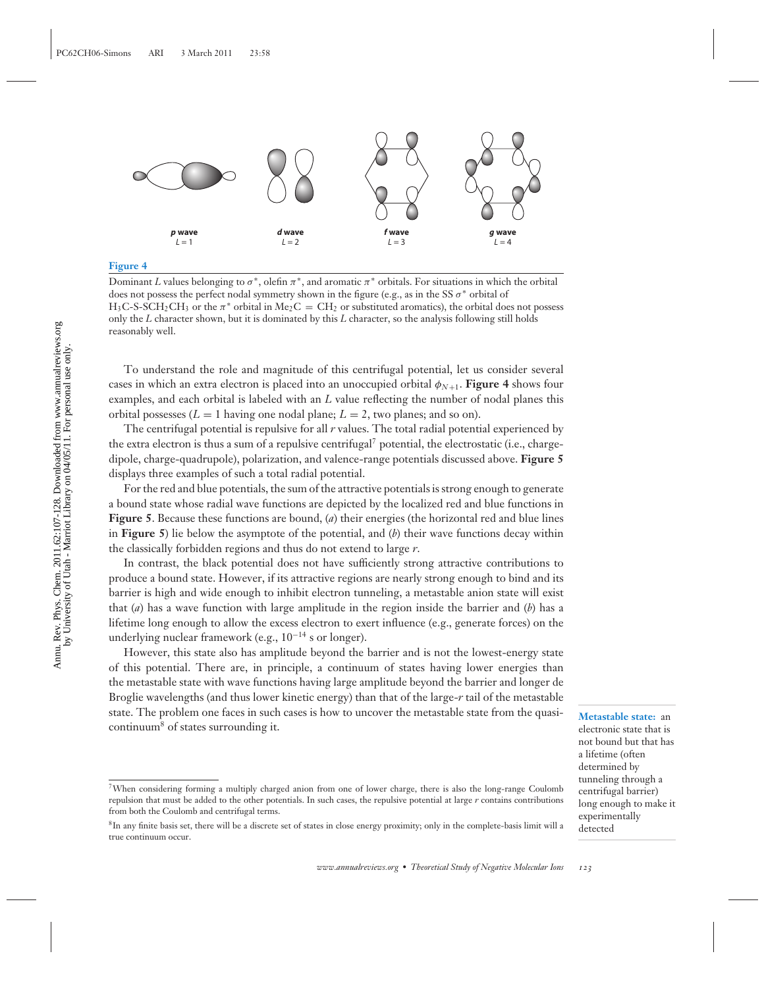

Dominant *L* values belonging to  $\sigma^*$ , olefin  $\pi^*$ , and aromatic  $\pi^*$  orbitals. For situations in which the orbital does not possess the perfect nodal symmetry shown in the figure (e.g., as in the SS  $\sigma^*$  orbital of  $H_3C-S-SCH_2CH_3$  or the  $\pi^*$  orbital in Me<sub>2</sub>C = CH<sub>2</sub> or substituted aromatics), the orbital does not possess only the *L* character shown, but it is dominated by this *L* character, so the analysis following still holds reasonably well.

To understand the role and magnitude of this centrifugal potential, let us consider several cases in which an extra electron is placed into an unoccupied orbital  $\phi_{N+1}$ . **Figure 4** shows four examples, and each orbital is labeled with an *L* value reflecting the number of nodal planes this orbital possesses ( $L = 1$  having one nodal plane;  $L = 2$ , two planes; and so on).

The centrifugal potential is repulsive for all *r* values. The total radial potential experienced by the extra electron is thus a sum of a repulsive centrifugal7 potential, the electrostatic (i.e., chargedipole, charge-quadrupole), polarization, and valence-range potentials discussed above. **Figure 5** displays three examples of such a total radial potential.

For the red and blue potentials, the sum of the attractive potentials is strong enough to generate a bound state whose radial wave functions are depicted by the localized red and blue functions in **Figure 5**. Because these functions are bound, (*a*) their energies (the horizontal red and blue lines in **Figure 5**) lie below the asymptote of the potential, and (*b*) their wave functions decay within the classically forbidden regions and thus do not extend to large *r*.

In contrast, the black potential does not have sufficiently strong attractive contributions to produce a bound state. However, if its attractive regions are nearly strong enough to bind and its barrier is high and wide enough to inhibit electron tunneling, a metastable anion state will exist that (*a*) has a wave function with large amplitude in the region inside the barrier and (*b*) has a lifetime long enough to allow the excess electron to exert influence (e.g., generate forces) on the underlying nuclear framework (e.g., 10<sup>−</sup><sup>14</sup> s or longer).

However, this state also has amplitude beyond the barrier and is not the lowest-energy state of this potential. There are, in principle, a continuum of states having lower energies than the metastable state with wave functions having large amplitude beyond the barrier and longer de Broglie wavelengths (and thus lower kinetic energy) than that of the large-*r* tail of the metastable state. The problem one faces in such cases is how to uncover the metastable state from the quasicontinuum<sup>8</sup> of states surrounding it.

**Metastable state:** an electronic state that is not bound but that has a lifetime (often determined by tunneling through a centrifugal barrier) long enough to make it experimentally detected

<sup>7</sup>When considering forming a multiply charged anion from one of lower charge, there is also the long-range Coulomb repulsion that must be added to the other potentials. In such cases, the repulsive potential at large *r* contains contributions from both the Coulomb and centrifugal terms.

<sup>&</sup>lt;sup>8</sup>In any finite basis set, there will be a discrete set of states in close energy proximity; only in the complete-basis limit will a true continuum occur.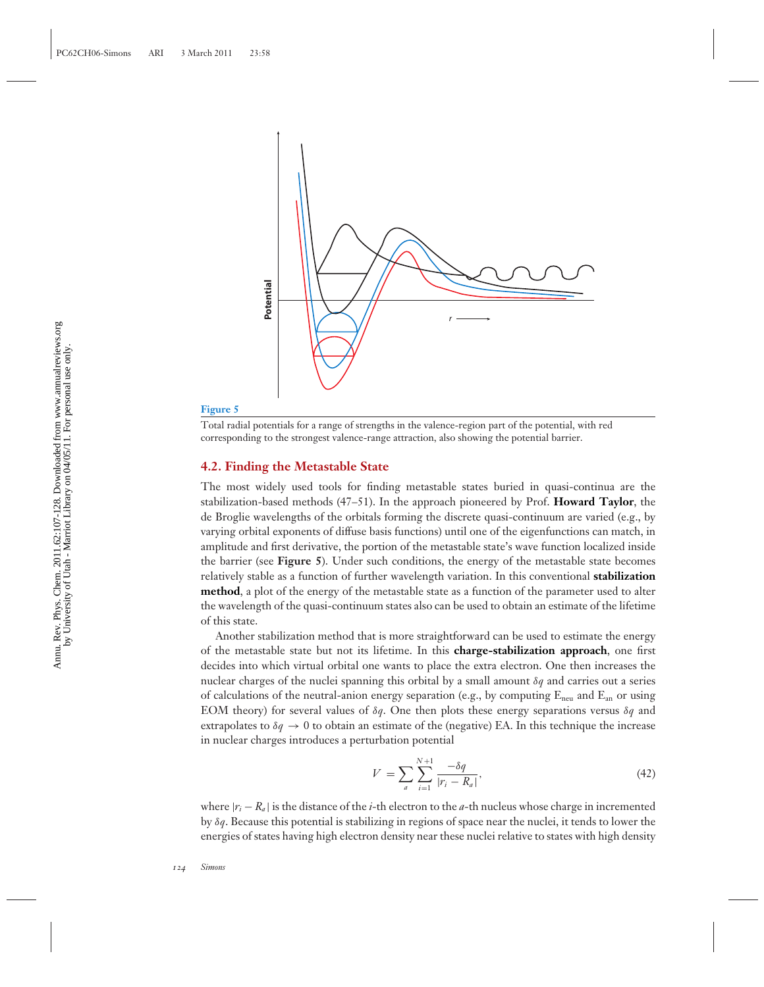

Total radial potentials for a range of strengths in the valence-region part of the potential, with red corresponding to the strongest valence-range attraction, also showing the potential barrier.

## **4.2. Finding the Metastable State**

The most widely used tools for finding metastable states buried in quasi-continua are the stabilization-based methods (47–51). In the approach pioneered by Prof. **[Howard Taylor](http://chem.usc.edu/faculty/Taylor.html?PHPSESSID=8d9e5ddea882bedb5c140b36800186b3)**, the de Broglie wavelengths of the orbitals forming the discrete quasi-continuum are varied (e.g., by varying orbital exponents of diffuse basis functions) until one of the eigenfunctions can match, in amplitude and first derivative, the portion of the metastable state's wave function localized inside the barrier (see **Figure 5**). Under such conditions, the energy of the metastable state becomes relatively stable as a function of further wavelength variation. In this conventional **[stabilization](http://www.hec.utah.edu/anions/#Ch5IV) [method](http://www.hec.utah.edu/anions/#Ch5IV)**, a plot of the energy of the metastable state as a function of the parameter used to alter the wavelength of the quasi-continuum states also can be used to obtain an estimate of the lifetime of this state.

Another stabilization method that is more straightforward can be used to estimate the energy of the metastable state but not its lifetime. In this **[charge-stabilization approach](http://www.hec.utah.edu/G03supplement/Index.html)**, one first decides into which virtual orbital one wants to place the extra electron. One then increases the nuclear charges of the nuclei spanning this orbital by a small amount δ*q* and carries out a series of calculations of the neutral-anion energy separation (e.g., by computing  $E_{neu}$  and  $E_{an}$  or using EOM theory) for several values of  $\delta q$ . One then plots these energy separations versus  $\delta q$  and extrapolates to  $\delta q \to 0$  to obtain an estimate of the (negative) EA. In this technique the increase in nuclear charges introduces a perturbation potential

$$
V = \sum_{a} \sum_{i=1}^{N+1} \frac{-\delta q}{|r_i - R_a|},\tag{42}
$$

where |*ri* − *Ra* | is the distance of the *i*-th electron to the *a*-th nucleus whose charge in incremented by δ*q*. Because this potential is stabilizing in regions of space near the nuclei, it tends to lower the energies of states having high electron density near these nuclei relative to states with high density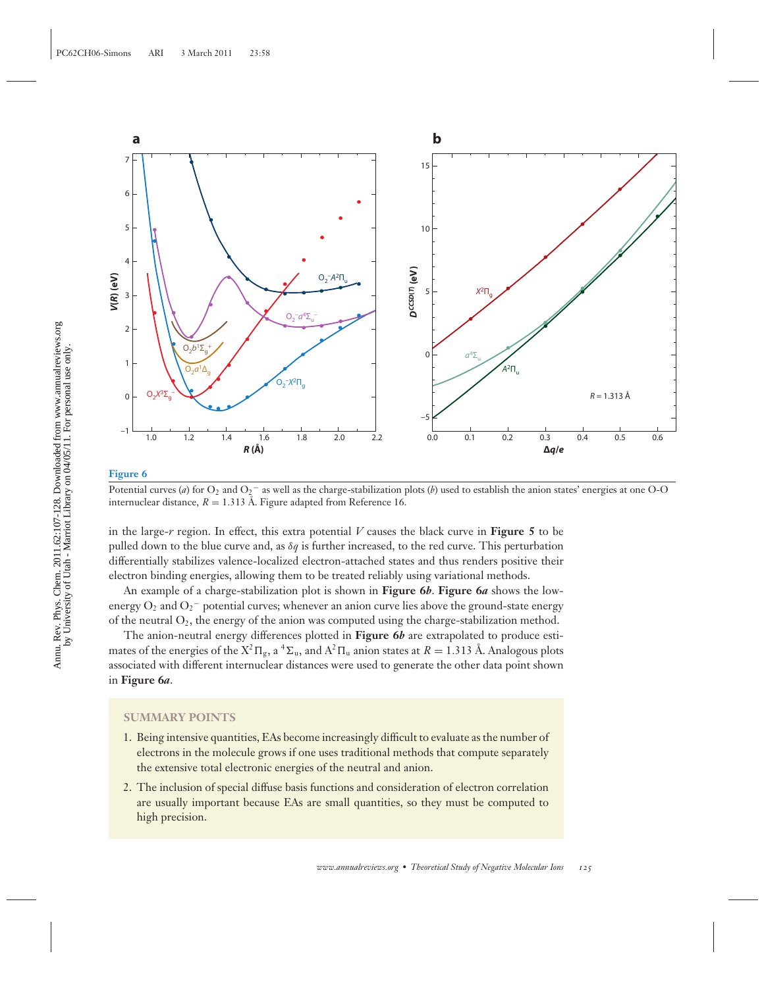

Potential curves (*a*) for  $O_2$  and  $O_2^-$  as well as the charge-stabilization plots (*b*) used to establish the anion states' energies at one O-O internuclear distance,  $R = 1.313$  Å. Figure adapted from Reference 16.

in the large-*r* region. In effect, this extra potential *V* causes the black curve in **Figure 5** to be pulled down to the blue curve and, as δ*q* is further increased, to the red curve. This perturbation differentially stabilizes valence-localized electron-attached states and thus renders positive their electron binding energies, allowing them to be treated reliably using variational methods.

An example of a charge-stabilization plot is shown in **Figure 6***b*. **Figure 6***a* shows the lowenergy  $O_2$  and  $O_2^-$  potential curves; whenever an anion curve lies above the ground-state energy of the neutral  $O_2$ , the energy of the anion was computed using the charge-stabilization method.

The anion-neutral energy differences plotted in **Figure 6***b* are extrapolated to produce estimates of the energies of the  $X^2\Pi_g$ , a  ${}^4\Sigma_u$ , and  $A^2\Pi_u$  anion states at  $R = 1.313$  Å. Analogous plots associated with different internuclear distances were used to generate the other data point shown in **Figure 6***a*.

## **SUMMARY POINTS**

- 1. Being intensive quantities, EAs become increasingly difficult to evaluate as the number of electrons in the molecule grows if one uses traditional methods that compute separately the extensive total electronic energies of the neutral and anion.
- 2. The inclusion of special diffuse basis functions and consideration of electron correlation are usually important because EAs are small quantities, so they must be computed to high precision.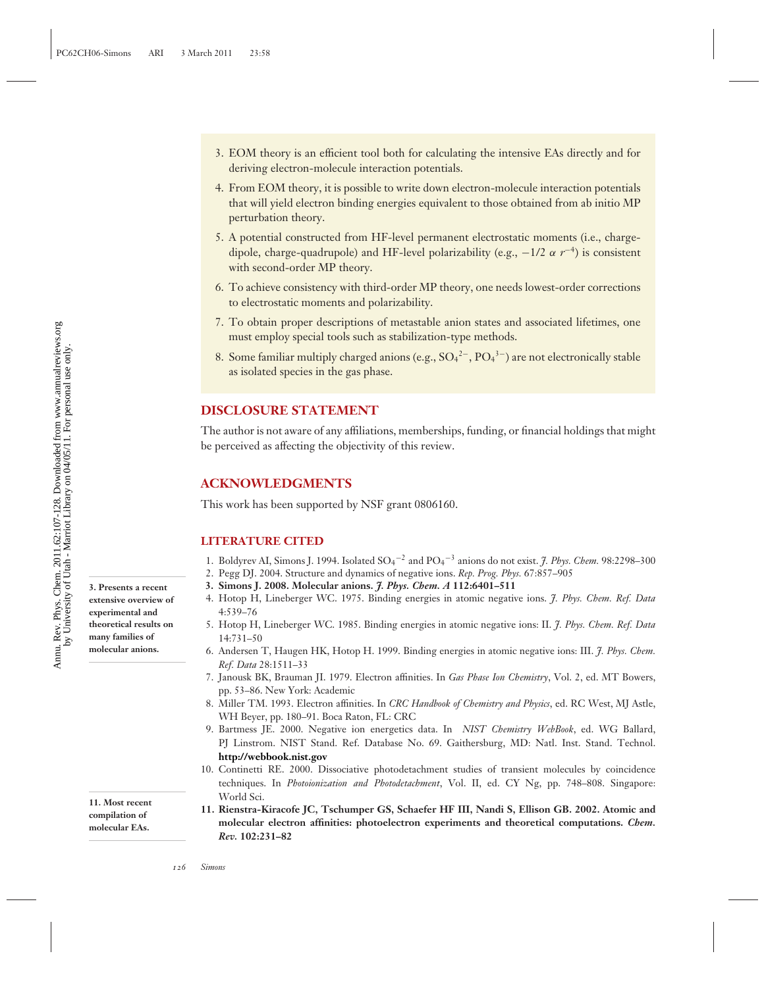Amu. Rev. Phys. Chem. 2011.62:107-128. Downloaded from www.annualreviews.org<br>by University of Utah - Marriot Library on 04/05/11. For personal use only. Annu. Rev. Phys. Chem. 2011.62:107-128. Downloaded from www.annualreviews.org by University of Utah - Marriot Library on 04/05/11. For personal use only.

**3. Presents a recent extensive overview of experimental and theoretical results on many families of molecular anions.**

**compilation of molecular EAs.**

- 3. EOM theory is an efficient tool both for calculating the intensive EAs directly and for deriving electron-molecule interaction potentials.
- 4. From EOM theory, it is possible to write down electron-molecule interaction potentials that will yield electron binding energies equivalent to those obtained from ab initio MP perturbation theory.
- 5. A potential constructed from HF-level permanent electrostatic moments (i.e., chargedipole, charge-quadrupole) and HF-level polarizability (e.g.,  $-1/2 \alpha r^{-4}$ ) is consistent with second-order MP theory.
- 6. To achieve consistency with third-order MP theory, one needs lowest-order corrections to electrostatic moments and polarizability.
- 7. To obtain proper descriptions of metastable anion states and associated lifetimes, one must employ special tools such as stabilization-type methods.
- 8. Some familiar multiply charged anions (e.g.,  $SO_4^2$ <sup>-</sup>,  $PO_4^3$ <sup>-</sup>) are not electronically stable as isolated species in the gas phase.

# **DISCLOSURE STATEMENT**

The author is not aware of any affiliations, memberships, funding, or financial holdings that might be perceived as affecting the objectivity of this review.

# **ACKNOWLEDGMENTS**

This work has been supported by NSF grant 0806160.

# **LITERATURE CITED**

- 1. Boldyrev AI, Simons J. 1994. Isolated SO<sub>4</sub><sup>-2</sup> and PO<sub>4</sub><sup>-3</sup> anions do not exist. *J. Phys. Chem.* 98:2298−300
- 2. Pegg DJ. 2004. Structure and dynamics of negative ions. *Rep. Prog. Phys.* 67:857–905
- **3. Simons J. 2008. Molecular anions.** *J. Phys. Chem. A* **112:6401–511**
- 4. Hotop H, Lineberger WC. 1975. Binding energies in atomic negative ions. *J. Phys. Chem. Ref. Data* 4:539–76
- 5. Hotop H, Lineberger WC. 1985. Binding energies in atomic negative ions: II. *J. Phys. Chem. Ref. Data* 14:731–50
- 6. Andersen T, Haugen HK, Hotop H. 1999. Binding energies in atomic negative ions: III. *J. Phys. Chem. Ref. Data* 28:1511–33
- 7. Janousk BK, Brauman JI. 1979. Electron affinities. In *Gas Phase Ion Chemistry*, Vol. 2, ed. MT Bowers, pp. 53–86. New York: Academic
- 8. Miller TM. 1993. Electron affinities. In *CRC Handbook of Chemistry and Physics*, ed. RC West, MJ Astle, WH Beyer, pp. 180–91. Boca Raton, FL: CRC
- 9. Bartmess JE. 2000. Negative ion energetics data. In *NIST Chemistry WebBook*, ed. WG Ballard, PJ Linstrom. NIST Stand. Ref. Database No. 69. Gaithersburg, MD: Natl. Inst. Stand. Technol. **[http://webbook.nist.gov](http://webbook.nist.gov/)**
- 10. Continetti RE. 2000. Dissociative photodetachment studies of transient molecules by coincidence techniques. In *Photoionization and Photodetachment*, Vol. II, ed. CY Ng, pp. 748–808. Singapore: World Sci. **11. Most recent**
	- **11. Rienstra-Kiracofe JC, Tschumper GS, Schaefer HF III, Nandi S, Ellison GB. 2002. Atomic and molecular electron affinities: photoelectron experiments and theoretical computations.** *Chem. Rev.* **102:231–82**

*126 Simons*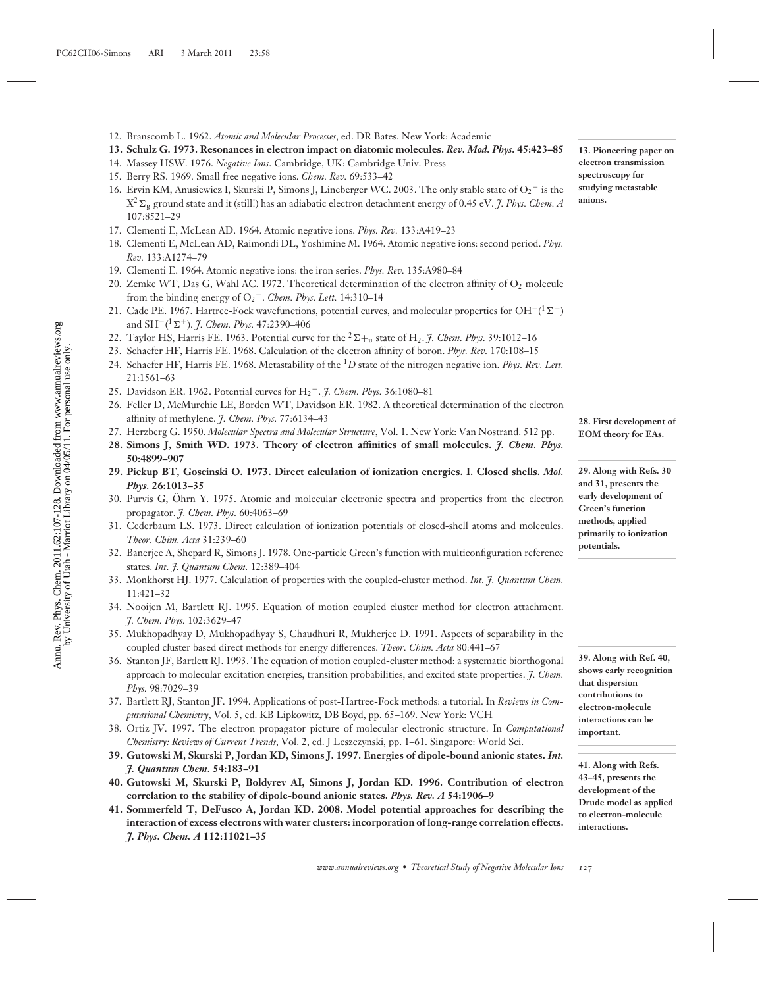- 12. Branscomb L. 1962. *Atomic and Molecular Processes*, ed. DR Bates. New York: Academic
- **13. Schulz G. 1973. Resonances in electron impact on diatomic molecules.** *Rev. Mod. Phys.* **45:423–85**
- 14. Massey HSW. 1976. *Negative Ions*. Cambridge, UK: Cambridge Univ. Press
- 15. Berry RS. 1969. Small free negative ions. *Chem. Rev.* 69:533–42
- 16. Ervin KM, Anusiewicz I, Skurski P, Simons J, Lineberger WC. 2003. The only stable state of  $O_2^-$  is the  $X^2\Sigma_g$  ground state and it (still!) has an adiabatic electron detachment energy of 0.45 eV. *J. Phys. Chem. A* 107:8521–29
- 17. Clementi E, McLean AD. 1964. Atomic negative ions. *Phys. Rev.* 133:A419–23
- 18. Clementi E, McLean AD, Raimondi DL, Yoshimine M. 1964. Atomic negative ions: second period. *Phys. Rev.* 133:A1274–79
- 19. Clementi E. 1964. Atomic negative ions: the iron series. *Phys. Rev.* 135:A980–84
- 20. Zemke WT, Das G, Wahl AC. 1972. Theoretical determination of the electron affinity of O<sub>2</sub> molecule from the binding energy of O2 <sup>−</sup>. *Chem. Phys. Lett.* 14:310–14
- 21. Cade PE. 1967. Hartree-Fock wavefunctions, potential curves, and molecular properties for OH<sup>-</sup>(<sup>1</sup>∑<sup>+</sup>) and SH−( <sup>1</sup>+). *J. Chem. Phys.* 47:2390–406
- 22. Taylor HS, Harris FE. 1963. Potential curve for the  ${}^{2}\Sigma +_{u}$  state of H<sub>2</sub>. *J. Chem. Phys.* 39:1012–16
- 23. Schaefer HF, Harris FE. 1968. Calculation of the electron affinity of boron. *Phys. Rev.* 170:108–15
- 24. Schaefer HF, Harris FE. 1968. Metastability of the <sup>1</sup>*D* state of the nitrogen negative ion. *Phys. Rev. Lett.* 21:1561–63
- 25. Davidson ER. 1962. Potential curves for H2 <sup>−</sup>. *J. Chem. Phys.* 36:1080–81
- 26. Feller D, McMurchie LE, Borden WT, Davidson ER. 1982. A theoretical determination of the electron affinity of methylene. *J. Chem. Phys.* 77:6134–43
- 27. Herzberg G. 1950. *Molecular Spectra and Molecular Structure*, Vol. 1. New York: Van Nostrand. 512 pp.
- **28. Simons J, Smith WD. 1973. Theory of electron affinities of small molecules.** *J. Chem. Phys.* **50:4899–907**
- **29. Pickup BT, Goscinski O. 1973. Direct calculation of ionization energies. I. Closed shells.** *Mol. Phys.* **26:1013–35**
- 30. Purvis G, Ohrn Y. 1975. Atomic and molecular electronic spectra and properties from the electron ¨ propagator. *J. Chem. Phys.* 60:4063–69
- 31. Cederbaum LS. 1973. Direct calculation of ionization potentials of closed-shell atoms and molecules. *Theor. Chim. Acta* 31:239–60
- 32. Banerjee A, Shepard R, Simons J. 1978. One-particle Green's function with multiconfiguration reference states. *Int. J. Quantum Chem.* 12:389–404
- 33. Monkhorst HJ. 1977. Calculation of properties with the coupled-cluster method. *Int. J. Quantum Chem.* 11:421–32
- 34. Nooijen M, Bartlett RJ. 1995. Equation of motion coupled cluster method for electron attachment. *J. Chem. Phys.* 102:3629–47
- 35. Mukhopadhyay D, Mukhopadhyay S, Chaudhuri R, Mukherjee D. 1991. Aspects of separability in the coupled cluster based direct methods for energy differences. *Theor. Chim. Acta* 80:441–67
- 36. Stanton JF, Bartlett RJ. 1993. The equation of motion coupled-cluster method: a systematic biorthogonal approach to molecular excitation energies, transition probabilities, and excited state properties. *J. Chem. Phys.* 98:7029–39
- 37. Bartlett RJ, Stanton JF. 1994. Applications of post-Hartree-Fock methods: a tutorial. In *Reviews in Computational Chemistry*, Vol. 5, ed. KB Lipkowitz, DB Boyd, pp. 65–169. New York: VCH
- 38. Ortiz JV. 1997. The electron propagator picture of molecular electronic structure. In *Computational Chemistry: Reviews of Current Trends*, Vol. 2, ed. J Leszczynski, pp. 1–61. Singapore: World Sci.
- **39. Gutowski M, Skurski P, Jordan KD, Simons J. 1997. Energies of dipole-bound anionic states.** *Int. J. Quantum Chem.* **54:183–91**
- **40. Gutowski M, Skurski P, Boldyrev AI, Simons J, Jordan KD. 1996. Contribution of electron correlation to the stability of dipole-bound anionic states.** *Phys. Rev. A* **54:1906–9**
- **41. Sommerfeld T, DeFusco A, Jordan KD. 2008. Model potential approaches for describing the interaction of excess electrons with water clusters: incorporation of long-range correlation effects.** *J. Phys. Chem. A* **112:11021–35**

**13. Pioneering paper on electron transmission spectroscopy for studying metastable anions.**

**28. First development of EOM theory for EAs.**

**29. Along with Refs. 30 and 31, presents the early development of Green's function methods, applied primarily to ionization potentials.**

**39. Along with Ref. 40, shows early recognition that dispersion contributions to electron-molecule interactions can be important.**

**41. Along with Refs. 43–45, presents the development of the Drude model as applied to electron-molecule interactions.**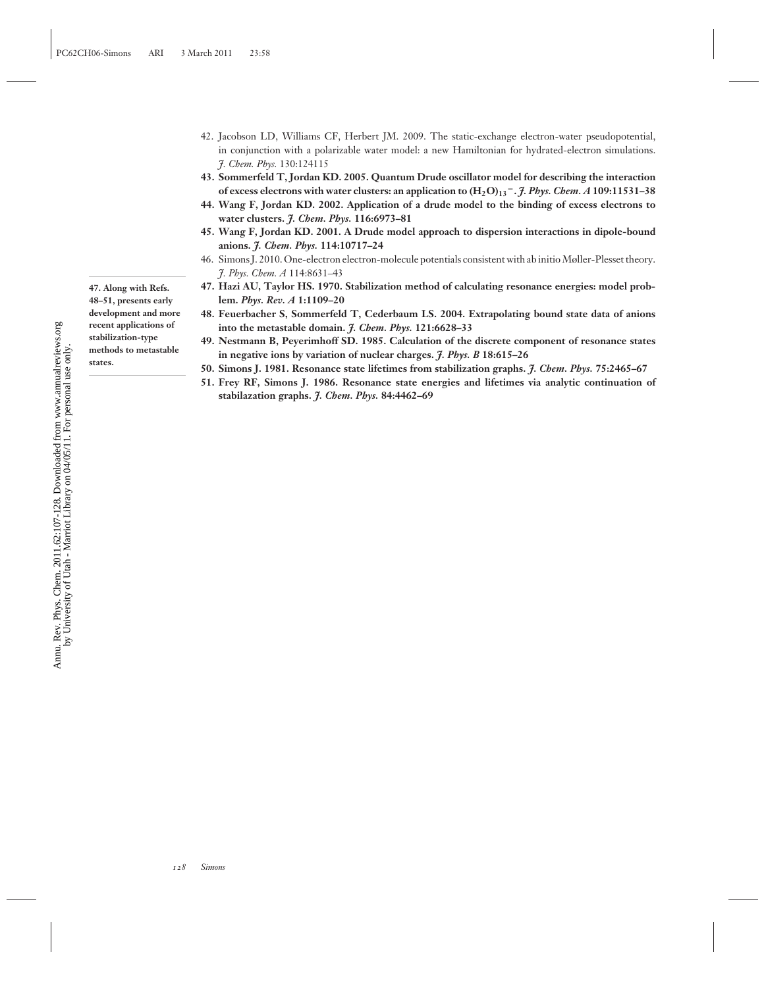**47. Along with Refs. 48–51, presents early development and more recent applications of stabilization-type methods to metastable**

**states.**

- 42. Jacobson LD, Williams CF, Herbert JM. 2009. The static-exchange electron-water pseudopotential, in conjunction with a polarizable water model: a new Hamiltonian for hydrated-electron simulations. *J. Chem. Phys.* 130:124115
- **43. Sommerfeld T, Jordan KD. 2005. Quantum Drude oscillator model for describing the interaction of excess electrons with water clusters: an application to**  $(H_2O)_{13}$ **<sup>** $-$ **</sup>.** *J. Phys. Chem. A* **109:11531–38**
- **44. Wang F, Jordan KD. 2002. Application of a drude model to the binding of excess electrons to water clusters.** *J. Chem. Phys.* **116:6973–81**
- **45. Wang F, Jordan KD. 2001. A Drude model approach to dispersion interactions in dipole-bound anions.** *J. Chem. Phys.* **114:10717–24**
- 46. Simons J. 2010. One-electron electron-molecule potentials consistent with ab initio Møller-Plesset theory. *J. Phys. Chem. A* 114:8631–43
- **47. Hazi AU, Taylor HS. 1970. Stabilization method of calculating resonance energies: model problem.** *Phys. Rev. A* **1:1109–20**
- **48. Feuerbacher S, Sommerfeld T, Cederbaum LS. 2004. Extrapolating bound state data of anions into the metastable domain.** *J. Chem. Phys.* **121:6628–33**
- **49. Nestmann B, Peyerimhoff SD. 1985. Calculation of the discrete component of resonance states in negative ions by variation of nuclear charges.** *J. Phys. B* **18:615–26**
- **50. Simons J. 1981. Resonance state lifetimes from stabilization graphs.** *J. Chem. Phys.* **75:2465–67**
- **51. Frey RF, Simons J. 1986. Resonance state energies and lifetimes via analytic continuation of stabilazation graphs.** *J. Chem. Phys.* **84:4462–69**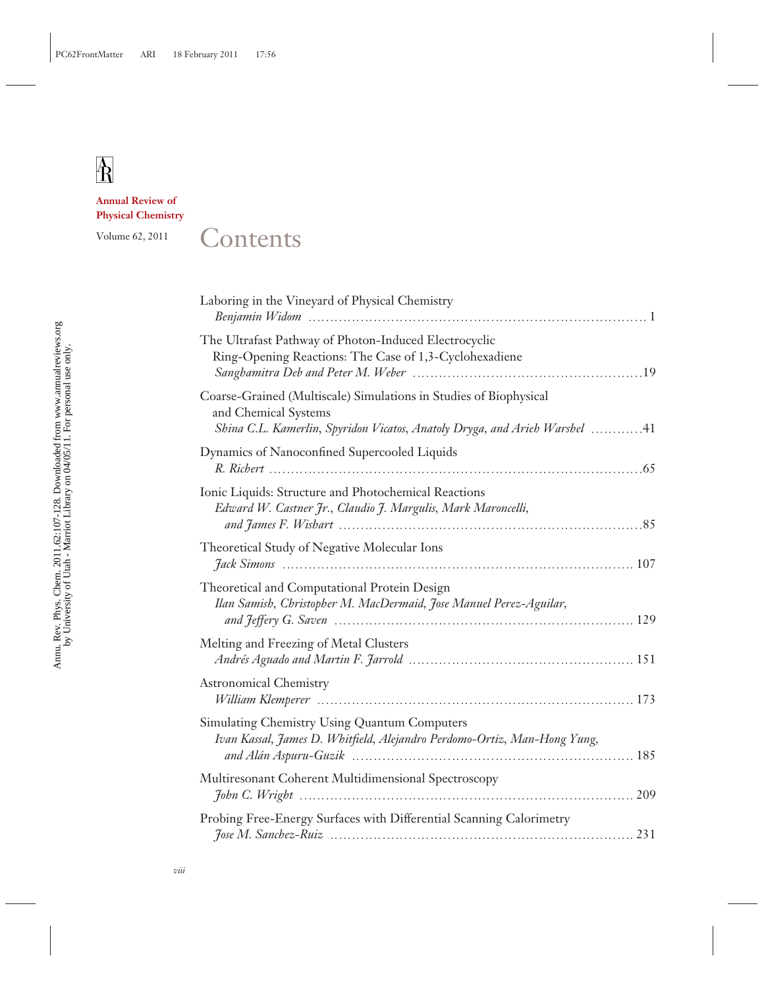$\mathbf{\mathbf{\hat{R}}}$ 

# **Annual Review of Physical Chemistry**

# Volume 62, 2011 Contents

| Laboring in the Vineyard of Physical Chemistry                                                                                                                          |
|-------------------------------------------------------------------------------------------------------------------------------------------------------------------------|
| The Ultrafast Pathway of Photon-Induced Electrocyclic<br>Ring-Opening Reactions: The Case of 1,3-Cyclohexadiene                                                         |
| Coarse-Grained (Multiscale) Simulations in Studies of Biophysical<br>and Chemical Systems<br>Shina C.L. Kamerlin, Spyridon Vicatos, Anatoly Dryga, and Arieh Warshel 41 |
| Dynamics of Nanoconfined Supercooled Liquids                                                                                                                            |
| Ionic Liquids: Structure and Photochemical Reactions<br>Edward W. Castner Jr., Claudio J. Margulis, Mark Maroncelli,                                                    |
| Theoretical Study of Negative Molecular Ions                                                                                                                            |
| Theoretical and Computational Protein Design<br>Ilan Samish, Christopher M. MacDermaid, Jose Manuel Perez-Aguilar,                                                      |
| Melting and Freezing of Metal Clusters                                                                                                                                  |
| <b>Astronomical Chemistry</b>                                                                                                                                           |
| Simulating Chemistry Using Quantum Computers<br>Ivan Kassal, James D. Whitfield, Alejandro Perdomo-Ortiz, Man-Hong Yung,                                                |
| Multiresonant Coherent Multidimensional Spectroscopy                                                                                                                    |
| Probing Free-Energy Surfaces with Differential Scanning Calorimetry                                                                                                     |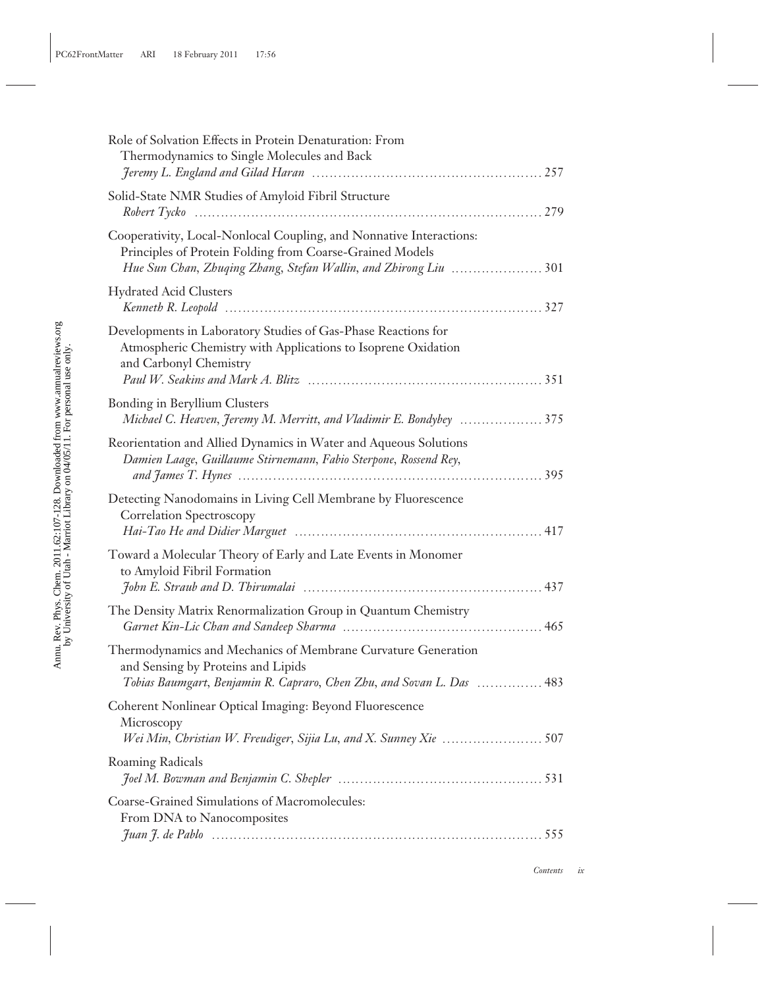| Role of Solvation Effects in Protein Denaturation: From<br>Thermodynamics to Single Molecules and Back                                                                                              |
|-----------------------------------------------------------------------------------------------------------------------------------------------------------------------------------------------------|
| Solid-State NMR Studies of Amyloid Fibril Structure                                                                                                                                                 |
| Cooperativity, Local-Nonlocal Coupling, and Nonnative Interactions:<br>Principles of Protein Folding from Coarse-Grained Models<br>Hue Sun Chan, Zhuqing Zhang, Stefan Wallin, and Zhirong Liu  301 |
| <b>Hydrated Acid Clusters</b>                                                                                                                                                                       |
| Developments in Laboratory Studies of Gas-Phase Reactions for<br>Atmospheric Chemistry with Applications to Isoprene Oxidation<br>and Carbonyl Chemistry                                            |
| Bonding in Beryllium Clusters<br>Michael C. Heaven, Jeremy M. Merritt, and Vladimir E. Bondybey  375                                                                                                |
| Reorientation and Allied Dynamics in Water and Aqueous Solutions<br>Damien Laage, Guillaume Stirnemann, Fabio Sterpone, Rossend Rey,                                                                |
| Detecting Nanodomains in Living Cell Membrane by Fluorescence<br><b>Correlation Spectroscopy</b>                                                                                                    |
| Toward a Molecular Theory of Early and Late Events in Monomer<br>to Amyloid Fibril Formation                                                                                                        |
| The Density Matrix Renormalization Group in Quantum Chemistry                                                                                                                                       |
| Thermodynamics and Mechanics of Membrane Curvature Generation<br>and Sensing by Proteins and Lipids<br>Tobias Baumgart, Benjamin R. Capraro, Chen Zhu, and Sovan L. Das  483                        |
| Coherent Nonlinear Optical Imaging: Beyond Fluorescence<br>Microscopy<br>Wei Min, Christian W. Freudiger, Sijia Lu, and X. Sunney Xie  507                                                          |
| <b>Roaming Radicals</b>                                                                                                                                                                             |
| Coarse-Grained Simulations of Macromolecules:<br>From DNA to Nanocomposites                                                                                                                         |
|                                                                                                                                                                                                     |